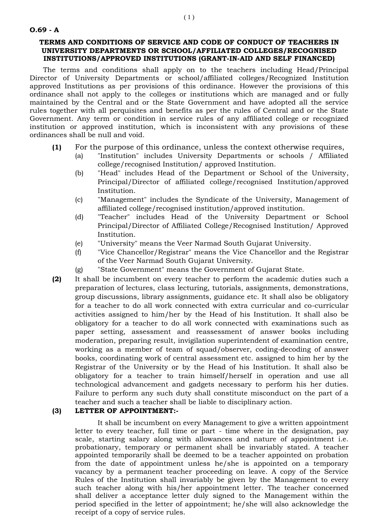## **TERMS AND CONDITIONS OF SERVICE AND CODE OF CONDUCT OF TEACHERS IN UNIVERSITY DEPARTMENTS OR SCHOOL/AFFILIATED COLLEGES/RECOGNISED INSTITUTIONS/APPROVED INSTITUTIONS (GRANT-IN-AID AND SELF FINANCED)**

The terms and conditions shall apply on to the teachers including Head/Principal Director of University Departments or school/affiliated colleges/Recognized Institution approved Institutions as per provisions of this ordinance. However the provisions of this ordinance shall not apply to the colleges or institutions which are managed and or fully maintained by the Central and or the State Government and have adopted all the service rules together with all perquisites and benefits as per the rules of Central and or the State Government. Any term or condition in service rules of any affiliated college or recognized institution or approved institution, which is inconsistent with any provisions of these ordinances shall be null and void.

- **(1)** For the purpose of this ordinance, unless the context otherwise requires,
	- (a) "Institution" includes University Departments or schools / Affiliated college/recognised Institution/ approved Institution.
	- (b) "Head" includes Head of the Department or School of the University, Principal/Director of affiliated college/recognised Institution/approved Institution.
	- (c) "Management" includes the Syndicate of the University, Management of affiliated college/recognised institution/approved institution.
	- (d) "Teacher" includes Head of the University Department or School Principal/Director of Affiliated College/Recognised Institution/ Approved Institution.
	- (e) "University" means the Veer Narmad South Gujarat University.
	- (f) "Vice Chancellor/Registrar" means the Vice Chancellor and the Registrar of the Veer Narmad South Gujarat University.
	- (g) "State Government" means the Government of Gujarat State.
- **(2)** It shall be incumbent on every teacher to perform the academic duties such a preparation of lectures, class lecturing, tutorials, assignments, demonstrations, group discussions, library assignments, guidance etc. It shall also be obligatory for a teacher to do all work connected with extra curricular and co-curricular activities assigned to him/her by the Head of his Institution. It shall also be obligatory for a teacher to do all work connected with examinations such as paper setting, assessment and reassessment of answer books including moderation, preparing result, invigilation superintendent of examination centre, working as a member of team of squad/observer, coding-decoding of answer books, coordinating work of central assessment etc. assigned to him her by the Registrar of the University or by the Head of his Institution. It shall also be obligatory for a teacher to train himself/herself in operation and use all technological advancement and gadgets necessary to perform his her duties. Failure to perform any such duty shall constitute misconduct on the part of a teacher and such a teacher shall be liable to disciplinary action.

## **(3) LETTER OF APPOINTMENT:-**

It shall be incumbent on every Management to give a written appointment letter to every teacher, full time or part - time where in the designation, pay scale, starting salary along with allowances and nature of appointment i.e. probationary, temporary or permanent shall be invariably stated. A teacher appointed temporarily shall be deemed to be a teacher appointed on probation from the date of appointment unless he/she is appointed on a temporary vacancy by a permanent teacher proceeding on leave. A copy of the Service Rules of the Institution shall invariably be given by the Management to every such teacher along with his/her appointment letter. The teacher concerned shall deliver a acceptance letter duly signed to the Management within the period specified in the letter of appointment; he/she will also acknowledge the receipt of a copy of service rules.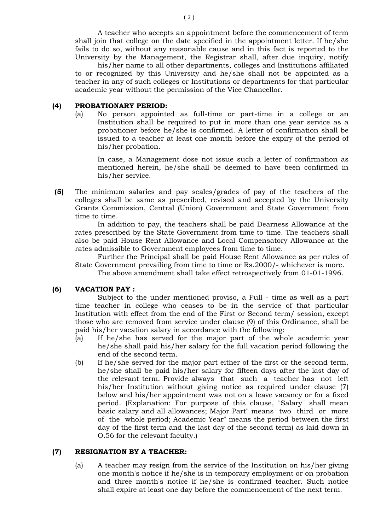A teacher who accepts an appointment before the commencement of term shall join that college on the date specified in the appointment letter. If he/she fails to do so, without any reasonable cause and in this fact is reported to the University by the Management, the Registrar shall, after due inquiry, notify

his/her name to all other departments, colleges and Institutions affiliated to or recognized by this University and he/she shall not be appointed as a teacher in any of such colleges or Institutions or departments for that particular academic year without the permission of the Vice Chancellor.

## **(4) PROBATIONARY PERIOD:**

(a) No person appointed as full-time or part-time in a college or an Institution shall be required to put in more than one year service as a probationer before he/she is confirmed. A letter of confirmation shall be issued to a teacher at least one month before the expiry of the period of his/her probation.

In case, a Management dose not issue such a letter of confirmation as mentioned herein, he/she shall be deemed to have been confirmed in his/her service.

**(5)** The minimum salaries and pay scales/grades of pay of the teachers of the colleges shall be same as prescribed, revised and accepted by the University Grants Commission, Central (Union) Government and State Government from time to time.

In addition to pay, the teachers shall be paid Dearness Allowance at the rates prescribed by the State Government from time to time. The teachers shall also be paid House Rent Allowance and Local Compensatory Allowance at the rates admissible to Government employees from time to time.

Further the Principal shall be paid House Rent Allowance as per rules of State Government prevailing from time to time or Rs.2000/- whichever is more.

The above amendment shall take effect retrospectively from 01-01-1996.

## **(6) VACATION PAY :**

Subject to the under mentioned proviso, a Full - time as well as a part time teacher in college who ceases to be in the service of that particular Institution with effect from the end of the First or Second term/ session, except those who are removed from service under clause (9) of this Ordinance, shall be paid his/her vacation salary in accordance with the following:

- (a) If he/she has served for the major part of the whole academic year he/she shall paid his/her salary for the full vacation period following the end of the second term.
- (b) If he/she served for the major part either of the first or the second term, he/she shall be paid his/her salary for fifteen days after the last day of the relevant term. Provide always that such a teacher has not left his/her Institution without giving notice as required under clause (7) below and his/her appointment was not on a leave vacancy or for a fixed period. (Explanation: For purpose of this clause, "Salary" shall mean basic salary and all allowances; Major Part" means two third or more of the whole period; Academic Year" means the period between the first day of the first term and the last day of the second term) as laid down in O.56 for the relevant faculty.)

## **(7) RESIGNATION BY A TEACHER:**

(a) A teacher may resign from the service of the Institution on his/her giving one month's notice if he/she is in temporary employment or on probation and three month's notice if he/she is confirmed teacher. Such notice shall expire at least one day before the commencement of the next term.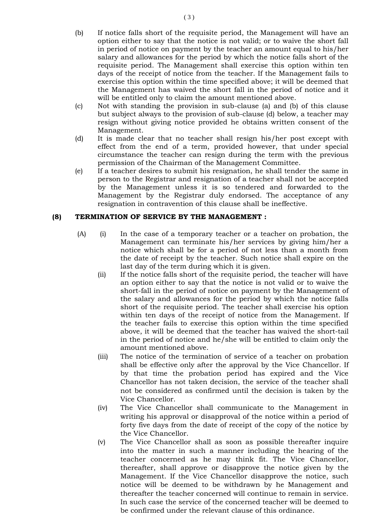- (b) If notice falls short of the requisite period, the Management will have an option either to say that the notice is not valid; or to waive the short fall in period of notice on payment by the teacher an amount equal to his/her salary and allowances for the period by which the notice falls short of the requisite period. The Management shall exercise this option within ten days of the receipt of notice from the teacher. If the Management fails to exercise this option within the time specified above; it will be deemed that the Management has waived the short fall in the period of notice and it will be entitled only to claim the amount mentioned above.
- (c) Not with standing the provision in sub-clause (a) and (b) of this clause but subject always to the provision of sub-clause (d) below, a teacher may resign without giving notice provided he obtains written consent of the Management.
- (d) It is made clear that no teacher shall resign his/her post except with effect from the end of a term, provided however, that under special circumstance the teacher can resign during the term with the previous permission of the Chairman of the Management Committee.
- (e) If a teacher desires to submit his resignation, he shall tender the same in person to the Registrar and resignation of a teacher shall not be accepted by the Management unless it is so tendered and forwarded to the Management by the Registrar duly endorsed. The acceptance of any resignation in contravention of this clause shall be ineffective.

## **(8) TERMINATION OF SERVICE BY THE MANAGEMENT :**

- (A) (i) In the case of a temporary teacher or a teacher on probation, the Management can terminate his/her services by giving him/her a notice which shall be for a period of not less than a month from the date of receipt by the teacher. Such notice shall expire on the last day of the term during which it is given.
	- (ii) If the notice falls short of the requisite period, the teacher will have an option either to say that the notice is not valid or to waive the short-fall in the period of notice on payment by the Management of the salary and allowances for the period by which the notice falls short of the requisite period. The teacher shall exercise his option within ten days of the receipt of notice from the Management. If the teacher fails to exercise this option within the time specified above, it will be deemed that the teacher has waived the short-tail in the period of notice and he/she will be entitled to claim only the amount mentioned above.
	- (iii) The notice of the termination of service of a teacher on probation shall be effective only after the approval by the Vice Chancellor. If by that time the probation period has expired and the Vice Chancellor has not taken decision, the service of the teacher shall not be considered as confirmed until the decision is taken by the Vice Chancellor.
	- (iv) The Vice Chancellor shall communicate to the Management in writing his approval or disapproval of the notice within a period of forty five days from the date of receipt of the copy of the notice by the Vice Chancellor.
	- (v) The Vice Chancellor shall as soon as possible thereafter inquire into the matter in such a manner including the hearing of the teacher concerned as he may think fit. The Vice Chancellor, thereafter, shall approve or disapprove the notice given by the Management. If the Vice Chancellor disapprove the notice, such notice will be deemed to be withdrawn by he Management and thereafter the teacher concerned will continue to remain in service. In such case the service of the concerned teacher will be deemed to be confirmed under the relevant clause of this ordinance.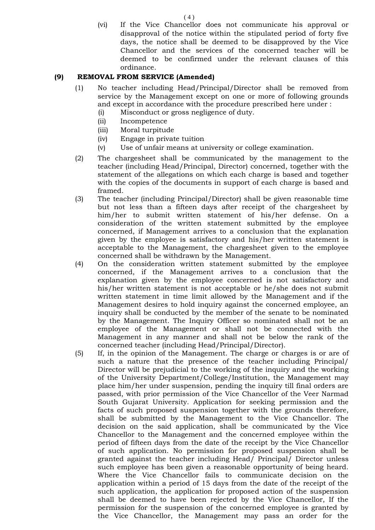(vi) If the Vice Chancellor does not communicate his approval or disapproval of the notice within the stipulated period of forty five days, the notice shall be deemed to be disapproved by the Vice Chancellor and the services of the concerned teacher will be deemed to be confirmed under the relevant clauses of this ordinance.

## **(9) REMOVAL FROM SERVICE (Amended)**

- (1) No teacher including Head/Principal/Director shall be removed from service by the Management except on one or more of following grounds and except in accordance with the procedure prescribed here under :
	- (i) Misconduct or gross negligence of duty.
	- (ii) Incompetence
	- (iii) Moral turpitude
	- (iv) Engage in private tuition
	- (v) Use of unfair means at university or college examination.
- (2) The chargesheet shall be communicated by the management to the teacher (including Head/Principal, Director) concerned, together with the statement of the allegations on which each charge is based and together with the copies of the documents in support of each charge is based and framed.
- (3) The teacher (including Principal/Director) shall be given reasonable time but not less than a fifteen days after receipt of the chargesheet by him/her to submit written statement of his/her defense. On a consideration of the written statement submitted by the employee concerned, if Management arrives to a conclusion that the explanation given by the employee is satisfactory and his/her written statement is acceptable to the Management, the chargesheet given to the employee concerned shall be withdrawn by the Management.
- (4) On the consideration written statement submitted by the employee concerned, if the Management arrives to a conclusion that the explanation given by the employee concerned is not satisfactory and his/her written statement is not acceptable or he/she does not submit written statement in time limit allowed by the Management and if the Management desires to hold inquiry against the concerned employee, an inquiry shall be conducted by the member of the senate to be nominated by the Management. The Inquiry Officer so nominated shall not be an employee of the Management or shall not be connected with the Management in any manner and shall not be below the rank of the concerned teacher (including Head/Principal/Director).
- (5) If, in the opinion of the Management. The charge or charges is or are of such a nature that the presence of the teacher including Principal/ Director will be prejudicial to the working of the inquiry and the working of the University Department/College/Institution, the Management may place him/her under suspension, pending the inquiry till final orders are passed, with prior permission of the Vice Chancellor of the Veer Narmad South Gujarat University. Application for seeking permission and the facts of such proposed suspension together with the grounds therefore, shall be submitted by the Management to the Vice Chancellor. The decision on the said application, shall be communicated by the Vice Chancellor to the Management and the concerned employee within the period of fifteen days from the date of the receipt by the Vice Chancellor of such application. No permission for proposed suspension shall be granted against the teacher including Head/ Principal/ Director unless such employee has been given a reasonable opportunity of being heard. Where the Vice Chancellor fails to communicate decision on the application within a period of 15 days from the date of the receipt of the such application, the application for proposed action of the suspension shall be deemed to have been rejected by the Vice Chancellor, If the permission for the suspension of the concerned employee is granted by the Vice Chancellor, the Management may pass an order for the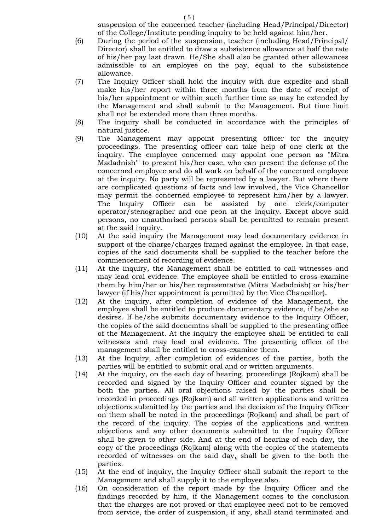suspension of the concerned teacher (including Head/Principal/Director) of the College/Institute pending inquiry to be held against him/her.

- (6) During the period of the suspension, teacher (including Head/Principal/ Director) shall be entitled to draw a subsistence allowance at half the rate of his/her pay last drawn. He/She shall also be granted other allowances admissible to an employee on the pay, equal to the subsistence allowance.
- (7) The Inquiry Officer shall hold the inquiry with due expedite and shall make his/her report within three months from the date of receipt of his/her appointment or within such further time as may be extended by the Management and shall submit to the Management. But time limit shall not be extended more than three months.
- (8) The inquiry shall be conducted in accordance with the principles of natural justice.
- (9) The Management may appoint presenting officer for the inquiry proceedings. The presenting officer can take help of one clerk at the inquiry. The employee concerned may appoint one person as "Mitra Madadnish'" to present his/her case, who can present the defense of the concerned employee and do all work on behalf of the concerned employee at the inquiry. No party will be represented by a lawyer. But where there are complicated questions of facts and law involved, the Vice Chancellor may permit the concerned employee to represent him/her by a lawyer. The Inquiry Officer can be assisted by one clerk/computer operator/stenographer and one peon at the inquiry. Except above said persons, no unauthorised persons shall be permitted to remain present at the said inquiry.
- (10) At the said inquiry the Management may lead documentary evidence in support of the charge/charges framed against the employee. In that case, copies of the said documents shall be supplied to the teacher before the commencement of recording of evidence.
- (11) At the inquiry, the Management shall be entitled to call witnesses and may lead oral evidence. The employee shall be entitled to cross-examine them by him/her or his/her representative (Mitra Madadnish) or his/her lawyer (if his/her appointment is permitted by the Vice Chancellor).
- (12) At the inquiry, after completion of evidence of the Management, the employee shall be entitled to produce documentary evidence, if he/she so desires. If he/she submits documentary evidence to the Inquiry Officer, the copies of the said docuemtns shall be supplied to the presenting office of the Management. At the inquiry the employee shall be entitled to call witnesses and may lead oral evidence. The presenting officer of the management shall be entitled to cross-examine them.
- (13) At the Inquiry, after completion of evidences of the parties, both the parties will be entitled to submit oral and or written arguments.
- (14) At the inquiry, on the each day of hearing, proceedings (Rojkam) shall be recorded and signed by the Inquiry Officer and counter signed by the both the parties. All oral objections raised by the parties shall be recorded in proceedings (Rojkam) and all written applications and written objections submitted by the parties and the decision of the Inquiry Officer on them shall be noted in the proceedings (Rojkam) and shall be part of the record of the inquiry. The copies of the applications and written objections and any other documents submitted to the Inquiry Officer shall be given to other side. And at the end of hearing of each day, the copy of the proceedings (Rojkam) along with the copies of the statements recorded of witnesses on the said day, shall be given to the both the parties.
- (15) At the end of inquiry, the Inquiry Officer shall submit the report to the Management and shall supply it to the employee also.
- (16) On consideration of the report made by the Inquiry Officer and the findings recorded by him, if the Management comes to the conclusion that the charges are not proved or that employee need not to be removed from service, the order of suspension, if any, shall stand terminated and

 $(5)$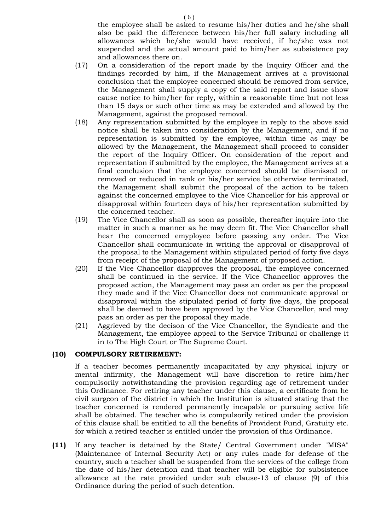the employee shall be asked to resume his/her duties and he/she shall also be paid the differenece between his/her full salary including all allowances which he/she would have received, if he/she was not suspended and the actual amount paid to him/her as subsistence pay and allowances there on.

- (17) On a consideration of the report made by the Inquiry Officer and the findings recorded by him, if the Management arrives at a provisional conclusion that the employee concerned should be removed from service, the Management shall supply a copy of the said report and issue show cause notice to him/her for reply, within a reasonable time but not less than 15 days or such other time as may be extended and allowed by the Management, against the proposed removal.
- (18) Any representation submitted by the employee in reply to the above said notice shall be taken into consideration by the Management, and if no representation is submitted by the employee, within time as may be allowed by the Management, the Managemeat shall proceed to consider the report of the Inquiry Officer. On consideration of the report and representation if submitted by the employee, the Management arrives at a final conclusion that the employee concerned should be dismissed or removed or reduced in rank or his/her service be otherwise terminated, the Management shall submit the proposal of the action to be taken against the concerned employee to the Vice Chancellor for his approval or disapproval within fourteen days of his/her representation submitted by the concerned teacher.
- (19) The Vice Chancellor shall as soon as possible, thereafter inquire into the matter in such a manner as he may deem fit. The Vice Chancellor shall hear the concerned emyployee before passing any order. The Vice Chancellor shall communicate in writing the approval or disapproval of the proposal to the Management within stipulated period of forty five days from receipt of the proposal of the Management of proposed action.
- (20) If the Vice Chancellor diapproves the proposal, the employee concerned shall be continued in the service. If the Vice Chancellor approves the proposed action, the Management may pass an order as per the proposal they made and if the Vice Chancellor does not communicate approval or disapproval within the stipulated period of forty five days, the proposal shall be deemed to have been approved by the Vice Chancellor, and may pass an order as per the proposal they made.
- (21) Aggrieved by the decison of the Vice Chancellor, the Syndicate and the Management, the employee appeal to the Service Tribunal or challenge it in to The High Court or The Supreme Court.

## **(10) COMPULSORY RETIREMENT:**

If a teacher becomes permanently incapacitated by any physical injury or mental infirmity, the Management will have discretion to retire him/her compulsorily notwithstanding the provision regarding age of retirement under this Ordinance. For retiring any teacher under this clause, a certificate from he civil surgeon of the district in which the Institution is situated stating that the teacher concerned is rendered permanently incapable or pursuing active life shall be obtained. The teacher who is compulsorily retired under the provision of this clause shall be entitled to all the benefits of Provident Fund, Gratuity etc. for which a retired teacher is entitled under the provision of this Ordinance.

**(11)** If any teacher is detained by the State/ Central Government under "MISA" (Maintenance of Internal Security Act) or any rules made for defense of the country, such a teacher shall be suspended from the services of the college from the date of his/her detention and that teacher will be eligible for subsistence allowance at the rate provided under sub clause-13 of clause (9) of this Ordinance during the period of such detention.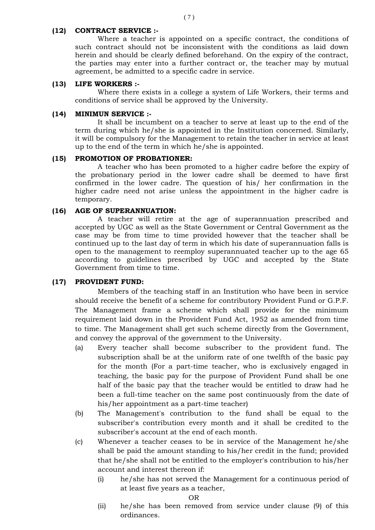## **(12) CONTRACT SERVICE :-**

Where a teacher is appointed on a specific contract, the conditions of such contract should not be inconsistent with the conditions as laid down herein and should be clearly defined beforehand. On the expiry of the contract, the parties may enter into a further contract or, the teacher may by mutual agreement, be admitted to a specific cadre in service.

#### **(13) LIFE WORKERS :-**

Where there exists in a college a system of Life Workers, their terms and conditions of service shall be approved by the University.

#### **(14) MINIMUN SERVICE :-**

It shall be incumbent on a teacher to serve at least up to the end of the term during which he/she is appointed in the Institution concerned. Similarly, it will be compulsory for the Management to retain the teacher in service at least up to the end of the term in which he/she is appointed.

#### **(15) PROMOTION OF PROBATIONER:**

A teacher who has been promoted to a higher cadre before the expiry of the probationary period in the lower cadre shall be deemed to have first confirmed in the lower cadre. The question of his/ her confirmation in the higher cadre need not arise unless the appointment in the higher cadre is temporary.

#### **(16) AGE OF SUPERANNUATION:**

A teacher will retire at the age of superannuation prescribed and accepted by UGC as well as the State Government or Central Government as the case may be from time to time provided however that the teacher shall be continued up to the last day of term in which his date of superannuation falls is open to the management to reemploy superannuated teacher up to the age 65 according to guidelines prescribed by UGC and accepted by the State Government from time to time.

#### **(17) PROVIDENT FUND:**

Members of the teaching staff in an Institution who have been in service should receive the benefit of a scheme for contributory Provident Fund or G.P.F. The Management frame a scheme which shall provide for the minimum requirement laid down in the Provident Fund Act, 1952 as amended from time to time. The Management shall get such scheme directly from the Government, and convey the approval of the government to the University.

- (a) Every teacher shall become subscriber to the provident fund. The subscription shall be at the uniform rate of one twelfth of the basic pay for the month (For a part-time teacher, who is exclusively engaged in teaching, the basic pay for the purpose of Provident Fund shall be one half of the basic pay that the teacher would be entitled to draw had he been a full-time teacher on the same post continuously from the date of his/her appointment as a part-time teacher)
- (b) The Management's contribution to the fund shall be equal to the subscriber's contribution every month and it shall be credited to the subscriber's account at the end of each month.
- (c) Whenever a teacher ceases to be in service of the Management he/she shall be paid the amount standing to his/her credit in the fund; provided that he/she shall not be entitled to the employer's contribution to his/her account and interest thereon if:
	- (i) he/she has not served the Management for a continuous period of at least five years as a teacher,

#### OR

(ii) he/she has been removed from service under clause (9) of this ordinances.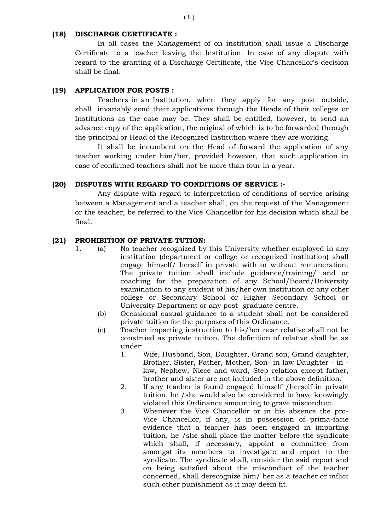#### **(18) DISCHARGE CERTIFICATE :**

In all cases the Management of on institution shall issue a Discharge Certificate to a teacher leaving the Institution. In case of any dispute with regard to the granting of a Discharge Certificate, the Vice Chancellor's decision shall be final.

## **(19) APPLICATION FOR POSTS :**

Teachers in an Institution, when they apply for any post outside, shall invariably send their applications through the Heads of their colleges or Institutions as the case may be. They shall be entitled, however, to send an advance copy of the application, the original of which is to be forwarded through the principal or Head of the Recognized Institution where they are working.

It shall be incumbent on the Head of forward the application of any teacher working under him/her, provided however, that such application in case of confirmed teachers shall not be more than four in a year.

## **(20) DISPUTES WITH REGARD TO CONDITIONS OF SERVICE :-**

Any dispute with regard to interpretation of conditions of service arising between a Management and a teacher shall, on the request of the Management or the teacher, be referred to the Vice Chancellor for his decision which shall be final.

#### **(21) PROHIBITION OF PRIVATE TUTION:**

- 1. (a) No teacher recognized by this University whether employed in any institution (department or college or recognized institution) shall engage himself/ herself in private with or without remuneration. The private tuition shall include guidance/training/ and or coaching for the preparation of any School/Board/University examination to any student of his/her own institution or any other college or Secondary School or Higher Secondary School or University Department or any post- graduate centre.
	- (b) Occasional casual guidance to a student shall not be considered private tuition for the purposes of this Ordinance.
	- (c) Teacher imparting instruction to his/her near relative shall not be construed as private tuition. The definition of relative shall be as under:
		- 1. Wife, Husband, Son, Daughter, Grand son, Grand daughter, Brother, Sister, Father, Mother, Son- in law Daughter - in law, Nephew, Niece and ward, Step relation except father, brother and sister are not included in the above definition.
		- 2. If any teacher is found engaged himself /herself in private tuition, he /she would also be considered to have knowingly violated this Ordinance amounting to grave misconduct.
		- 3. Whenever the Vice Chancellor or in his absence the pro-Vice Chancellor, if any, is in possession of prima-facie evidence that a teacher has been engaged in imparting tuition, he /she shall place the matter before the syndicate which shall, if necessary, appoint a committee from amongst its members to investigate and report to the syndicate. The syndicate shall, consider the said report and on being satisfied about the misconduct of the teacher concerned, shall derecognize him/ her as a teacher or inflict such other punishment as it may deem fit.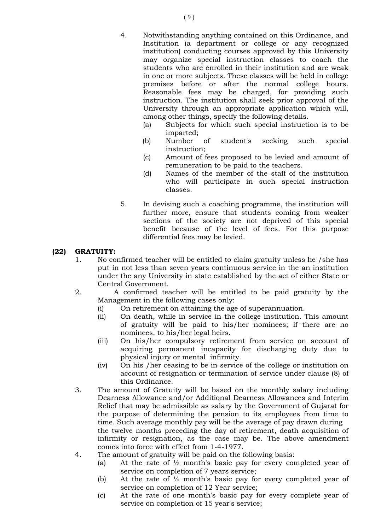- 4. Notwithstanding anything contained on this Ordinance, and Institution (a department or college or any recognized institution) conducting courses approved by this University may organize special instruction classes to coach the students who are enrolled in their institution and are weak in one or more subjects. These classes will be held in college premises before or after the normal college hours. Reasonable fees may be charged, for providing such instruction. The institution shall seek prior approval of the University through an appropriate application which will, among other things, specify the following details.
	- (a) Subjects for which such special instruction is to be imparted;
	- (b) Number of student's seeking such special instruction;
	- (c) Amount of fees proposed to be levied and amount of remuneration to be paid to the teachers.
	- (d) Names of the member of the staff of the institution who will participate in such special instruction classes.
- 5. In devising such a coaching programme, the institution will further more, ensure that students coming from weaker sections of the society are not deprived of this special benefit because of the level of fees. For this purpose differential fees may be levied.

## **(22) GRATUITY:**

- 1. No confirmed teacher will be entitled to claim gratuity unless he /she has put in not less than seven years continuous service in the an institution under the any University in state established by the act of either State or Central Government.
- 2. A confirmed teacher will be entitled to be paid gratuity by the Management in the following cases only:
	- (i) On retirement on attaining the age of superannuation.
	- (ii) On death, while in service in the college institution. This amount of gratuity will be paid to his/her nominees; if there are no nominees, to his/her legal heirs.
	- (iii) On his/her compulsory retirement from service on account of acquiring permanent incapacity for discharging duty due to physical injury or mental infirmity.
	- (iv) On his /her ceasing to be in service of the college or institution on account of resignation or termination of service under clause (8) of this Ordinance.
- 3. The amount of Gratuity will be based on the monthly salary including Dearness Allowance and/or Additional Dearness Allowances and Interim Relief that may be admissible as salary by the Government of Gujarat for the purpose of determining the pension to its employees from time to time. Such average monthly pay will be the average of pay drawn during the twelve months preceding the day of retirement, death acquisition of infirmity or resignation, as the case may be. The above amendment comes into force with effect from 1-4-1977.
- 4. The amount of gratuity will be paid on the following basis:
	- (a) At the rate of  $\frac{1}{2}$  month's basic pay for every completed year of service on completion of 7 years service;
	- (b) At the rate of ½ month's basic pay for every completed year of service on completion of 12 Year service;
	- (c) At the rate of one month's basic pay for every complete year of service on completion of 15 year's service;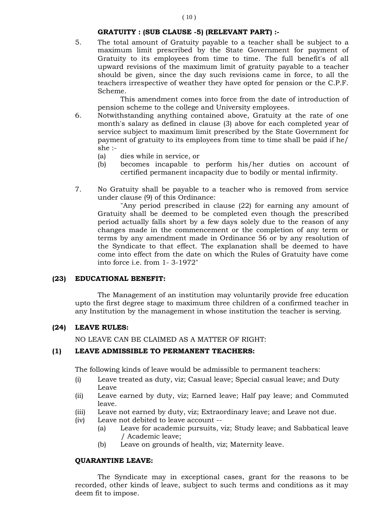## **GRATUITY : (SUB CLAUSE -5) (RELEVANT PART) :-**

5. The total amount of Gratuity payable to a teacher shall be subject to a maximum limit prescribed by the State Government for payment of Gratuity to its employees from time to time. The full benefit's of all upward revisions of the maximum limit of gratuity payable to a teacher should be given, since the day such revisions came in force, to all the teachers irrespective of weather they have opted for pension or the C.P.F. Scheme.

This amendment comes into force from the date of introduction of pension scheme to the college and University employees.

- 6. Notwithstanding anything contained above, Gratuity at the rate of one month's salary as defined in clause (3) above for each completed year of service subject to maximum limit prescribed by the State Government for payment of gratuity to its employees from time to time shall be paid if he/ she :-
	- (a) dies while in service, or
	- (b) becomes incapable to perform his/her duties on account of certified permanent incapacity due to bodily or mental infirmity.
- 7. No Gratuity shall be payable to a teacher who is removed from service under clause (9) of this Ordinance:

"Any period prescribed in clause (22) for earning any amount of Gratuity shall be deemed to be completed even though the prescribed period actually falls short by a few days solely due to the reason of any changes made in the commencement or the completion of any term or terms by any amendment made in Ordinance 56 or by any resolution of the Syndicate to that effect. The explanation shall be deemed to have come into effect from the date on which the Rules of Gratuity have come into force i.e. from 1- 3-1972"

#### **(23) EDUCATIONAL BENEFIT:**

The Management of an institution may voluntarily provide free education upto the first degree stage to maximum three children of a confirmed teacher in any Institution by the management in whose institution the teacher is serving.

#### **(24) LEAVE RULES:**

NO LEAVE CAN BE CLAIMED AS A MATTER OF RIGHT:

#### **(1) LEAVE ADMISSIBLE TO PERMANENT TEACHERS:**

The following kinds of leave would be admissible to permanent teachers:

- (i) Leave treated as duty, viz; Casual leave; Special casual leave; and Duty Leave
- (ii) Leave earned by duty, viz; Earned leave; Half pay leave; and Commuted leave.
- (iii) Leave not earned by duty, viz; Extraordinary leave; and Leave not due.
- (iv) Leave not debited to leave account --
	- (a) Leave for academic pursuits, viz; Study leave; and Sabbatical leave / Academic leave;
	- (b) Leave on grounds of health, viz; Maternity leave.

#### **QUARANTINE LEAVE:**

The Syndicate may in exceptional cases, grant for the reasons to be recorded, other kinds of leave, subject to such terms and conditions as it may deem fit to impose.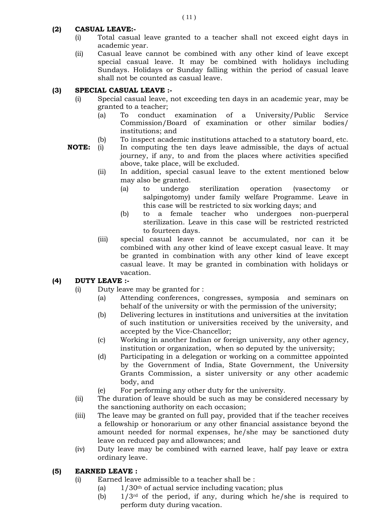# **(2) CASUAL LEAVE:-**

- (i) Total casual leave granted to a teacher shall not exceed eight days in academic year.
- (ii) Casual leave cannot be combined with any other kind of leave except special casual leave. It may be combined with holidays including Sundays. Holidays or Sunday falling within the period of casual leave shall not be counted as casual leave.

# **(3) SPECIAL CASUAL LEAVE :-**

- (i) Special casual leave, not exceeding ten days in an academic year, may be granted to a teacher;
	- (a) To conduct examination of a University/Public Service Commission/Board of examination or other similar bodies/ institutions; and
	- (b) To inspect academic institutions attached to a statutory board, etc.
- **NOTE:** (i) In computing the ten days leave admissible, the days of actual journey, if any, to and from the places where activities specified above, take place, will be excluded.
	- (ii) In addition, special casual leave to the extent mentioned below may also be granted.
		- (a) to undergo sterilization operation (vasectomy or salpingotomy) under family welfare Programme. Leave in this case will be restricted to six working days; and
		- (b) to a female teacher who undergoes non-puerperal sterilization. Leave in this case will be restricted restricted to fourteen days.
	- (iii) special casual leave cannot be accumulated, nor can it be combined with any other kind of leave except casual leave. It may be granted in combination with any other kind of leave except casual leave. It may be granted in combination with holidays or vacation.

# **(4) DUTY LEAVE :-**

- (i) Duty leave may be granted for :
	- (a) Attending conferences, congresses, symposia and seminars on behalf of the university or with the permission of the university;
	- (b) Delivering lectures in institutions and universities at the invitation of such institution or universities received by the university, and accepted by the Vice-Chancellor;
	- (c) Working in another Indian or foreign university, any other agency, institution or organization, when so deputed by the university;
	- (d) Participating in a delegation or working on a committee appointed by the Government of India, State Government, the University Grants Commission, a sister university or any other academic body, and
	- (e) For performing any other duty for the university.
- (ii) The duration of leave should be such as may be considered necessary by the sanctioning authority on each occasion;
- (iii) The leave may be granted on full pay, provided that if the teacher receives a fellowship or honorarium or any other financial assistance beyond the amount needed for normal expenses, he/she may be sanctioned duty leave on reduced pay and allowances; and
- (iv) Duty leave may be combined with earned leave, half pay leave or extra ordinary leave.

# **(5) EARNED LEAVE :**

- (i) Earned leave admissible to a teacher shall be :
	- (a)  $1/30<sup>th</sup>$  of actual service including vacation; plus
	- (b)  $1/3^{rd}$  of the period, if any, during which he/she is required to perform duty during vacation.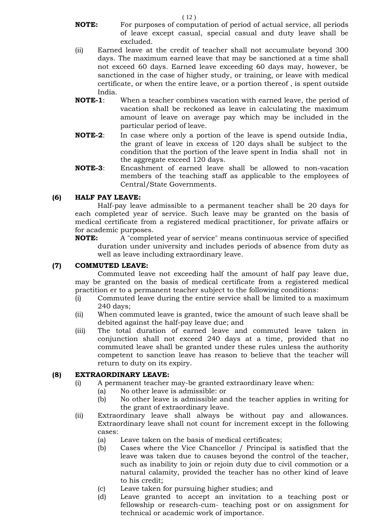- **NOTE:** For purposes of computation of period of actual service, all periods of leave except casual, special casual and duty leave shall be excluded.
- (ii) Earned leave at the credit of teacher shall not accumulate beyond 300 days. The maximum earned leave that may be sanctioned at a time shall not exceed 60 days. Earned leave exceeding 60 days may, however, be sanctioned in the case of higher study, or training, or leave with medical certificate, or when the entire leave, or a portion thereof , is spent outside India.
- **NOTE-1**: When a teacher combines vacation with earned leave, the period of vacation shall be reckoned as leave in calculating the maximum amount of leave on average pay which may be included in the particular period of leave.
- **NOTE-2**: In case where only a portion of the leave is spend outside India, the grant of leave in excess of 120 days shall be subject to the condition that the portion of the leave spent in India shall not in the aggregate exceed 120 days.
- **NOTE-3**: Encashment of earned leave shall be allowed to non-vacation members of the teaching staff as applicable to the employees of Central/State Governments.

## **(6) HALF PAY LEAVE:**

Half-pay leave admissible to a permanent teacher shall be 20 days for each completed year of service. Such leave may be granted on the basis of medical certificate from a registered medical practitioner, for private affairs or for academic purposes.

**NOTE:** A "completed year of service" means continuous service of specified duration under university and includes periods of absence from duty as well as leave including extraordinary leave.

## **(7) COMMUTED LEAVE:**

Commuted leave not exceeding half the amount of half pay leave due, may be granted on the basis of medical certificate from a registered medical practition er to a permanent teacher subject to the following conditions:

- (i) Commuted leave during the entire service shall be limited to a maximum 240 days;
- (ii) When commuted leave is granted, twice the amount of such leave shall be debited against the half-pay leave due; and
- (iii) The total duration of earned leave and commuted leave taken in conjunction shall not exceed 240 days at a time, provided that no commuted leave shall be granted under these rules unless the authority competent to sanction leave has reason to believe that the teacher will return to duty on its expiry.

# **(8) EXTRAORDINARY LEAVE:**

- (i) A permanent teacher may-be granted extraordinary leave when:
	- (a) No other leave is admissible: or
		- (b) No other leave is admissible and the teacher applies in writing for the grant of extraordinary leave.
- (ii) Extraordinary leave shall always be without pay and allowances. Extraordinary leave shall not count for increment except in the following cases:
	- (a) Leave taken on the basis of medical certificates;
	- (b) Cases where the Vice Chancellor / Principal is satisfied that the leave was taken due to causes beyond the control of the teacher, such as inability to join or rejoin duty due to civil commotion or a natural calamity, provided the teacher has no other kind of leave to his credit;
	- (c) Leave taken for pursuing higher studies; and
	- (d) Leave granted to accept an invitation to a teaching post or fellowship or research-cum- teaching post or on assignment for technical or academic work of importance.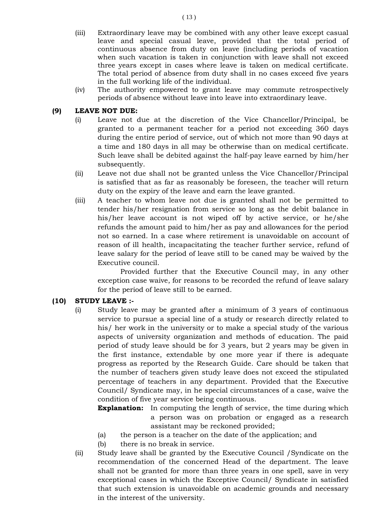- (iii) Extraordinary leave may be combined with any other leave except casual leave and special casual leave, provided that the total period of continuous absence from duty on leave (including periods of vacation when such vacation is taken in conjunction with leave shall not exceed three years except in cases where leave is taken on medical certificate. The total period of absence from duty shall in no cases exceed five years in the full working life of the individual.
- (iv) The authority empowered to grant leave may commute retrospectively periods of absence without leave into leave into extraordinary leave.

## **(9) LEAVE NOT DUE:**

- (i) Leave not due at the discretion of the Vice Chancellor/Principal, be granted to a permanent teacher for a period not exceeding 360 days during the entire period of service, out of which not more than 90 days at a time and 180 days in all may be otherwise than on medical certificate. Such leave shall be debited against the half-pay leave earned by him/her subsequently.
- (ii) Leave not due shall not be granted unless the Vice Chancellor/Principal is satisfied that as far as reasonably be foreseen, the teacher will return duty on the expiry of the leave and earn the leave granted.
- (iii) A teacher to whom leave not due is granted shall not be permitted to tender his/her resignation from service so long as the debit balance in his/her leave account is not wiped off by active service, or he/she refunds the amount paid to him/her as pay and allowances for the period not so earned. In a case where retirement is unavoidable on account of reason of ill health, incapacitating the teacher further service, refund of leave salary for the period of leave still to be caned may be waived by the Executive council.

Provided further that the Executive Council may, in any other exception case waive, for reasons to be recorded the refund of leave salary for the period of leave still to be earned.

## **(10) STUDY LEAVE :-**

- (i) Study leave may be granted after a minimum of 3 years of continuous service to pursue a special line of a study or research directly related to his/ her work in the university or to make a special study of the various aspects of university organization and methods of education. The paid period of study leave should be for 3 years, but 2 years may be given in the first instance, extendable by one more year if there is adequate progress as reported by the Research Guide. Care should be taken that the number of teachers given study leave does not exceed the stipulated percentage of teachers in any department. Provided that the Executive Council/ Syndicate may, in he special circumstances of a case, waive the condition of five year service being continuous.
	- **Explanation:** In computing the length of service, the time during which a person was on probation or engaged as a research assistant may be reckoned provided;
	- (a) the person is a teacher on the date of the application; and
	- (b) there is no break in service.
- (ii) Study leave shall be granted by the Executive Council /Syndicate on the recommendation of the concerned Head of the department. The leave shall not be granted for more than three years in one spell, save in very exceptional cases in which the Exceptive Council/ Syndicate in satisfied that such extension is unavoidable on academic grounds and necessary in the interest of the university.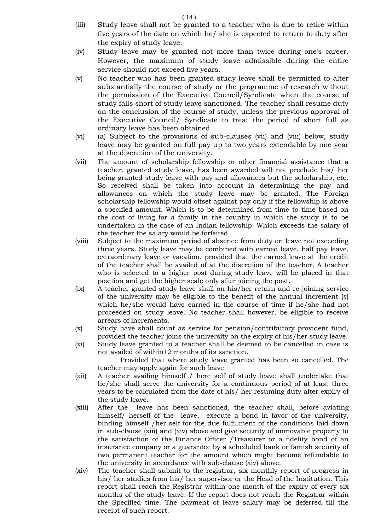- (iii) Study leave shall not be granted to a teacher who is due to retire within five years of the date on which he/ she is expected to return to duty after the expiry of study leave.
- (iv) Study leave may be granted not more than twice during one's career. However, the maximum of study leave admissible during the entire service should not exceed five years.
- (v) No teacher who has been granted study leave shall be permitted to alter substantially the course of study or the programme of research without the permission of the Executive Council/Syndicate when the course of study falls short of study leave sanctioned. The teacher shall resume duty on the conclusion of the course of study, unless the previous approval of the Executive Council/ Syndicate to treat the period of short full as ordinary leave has been obtained.
- (vi) (a) Subject to the provisions of sub-clauses (vii) and (viii) below, study leave may be granted on full pay up to two years extendable by one year at the discretion of the university.
- (vii) The amount of scholarship fellowship or other financial assistance that a teacher, granted study leave, has been awarded will not preclude his/ her being granted study leave with pay and allowances but the scholarship, etc. So received shall be taken into account in determining the pay and allowances on which the study leave may be granted. The Foreign scholarship fellowship would offset against pay only if the fellowship is above a specified amount. Which is to be determined from time to time based on the cost of living for a family in the country in which the study is to be undertaken in the case of an Indian fellowship. Which exceeds the salary of the teacher the salary would be forfeited.
- (viii) Subject to the maximum period of absence from duty on leave not exceeding three years. Study leave may be combined with earned leave, half pay leave, extraordinary leave or vacation, provided that the earned leave at the credit of the teacher shall be availed of at the discretion of the teacher. A teacher who is selected to a higher post during study leave will be placed in that position and get the higher scale only after joining the post.
- (ix) A teacher granted study leave shall on his/her return and re-joining service of the university may be eligible to the benefit of the annual increment (s) which he/she would have earned in the course of time if he/she had not proceeded on study leave. No teacher shall however, be eligible to receive arrears of increments.
- (x) Study have shall count as service for pension/contributory provident fund, provided the teacher joins the university on the expiry of his/her study leave.
- (xi) Study leave granted to a teacher shall be deemed to be cancelled in case is not availed of within12 months of its sanction.

Provided that where study leave granted has been so cancelled. The teacher may apply again for such leave.

- (xii) A teacher availing himself / here self of study leave shall undertake that he/she shall serve the university for a continuous period of at least three years to be calculated from the date of his/ her resuming duty after expiry of the study leave.
- (xiii) After the leave has been sanctioned, the teacher shall, before aviating himself/ herself of the leave, execute a bond in favor of the university, binding himself /her self for the due fulfillment of the conditions laid down in sub-clause (xiii) and (xiv) above and give security of immovable property to the satisfaction of the Finance Officer /Treasurer or a fidelity bond of an insurance company or a guarantee by a scheduled bank or famish security of two permanent teacher for the amount which might become refundable to the university in accordance with sub-clause (xiv) above.
- (xiv) The teacher shall submit to the registrar, six monthly report of progress in his/ her studies from his/ her supervisor or the Head of the Institution. This report shall reach the Registrar within one month of the expiry of every six months of the study leave. If the report does not reach the Registrar within the Specified time. The payment of leave salary may be deferred till the receipt of such report.

( 14 )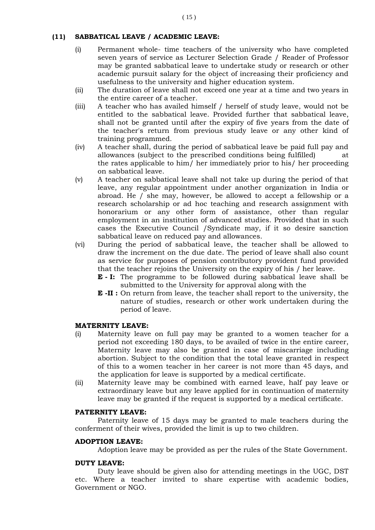# **(11) SABBATICAL LEAVE / ACADEMIC LEAVE:**

- (i) Permanent whole- time teachers of the university who have completed seven years of service as Lecturer Selection Grade / Reader of Professor may be granted sabbatical leave to undertake study or research or other academic pursuit salary for the object of increasing their proficiency and usefulness to the university and higher education system.
- (ii) The duration of leave shall not exceed one year at a time and two years in the entire career of a teacher.
- (iii) A teacher who has availed himself / herself of study leave, would not be entitled to the sabbatical leave. Provided further that sabbatical leave, shall not be granted until after the expiry of five years from the date of the teacher's return from previous study leave or any other kind of training programmed.
- (iv) A teacher shall, during the period of sabbatical leave be paid full pay and allowances (subject to the prescribed conditions being fulfilled) at the rates applicable to him/ her immediately prior to his/ her proceeding on sabbatical leave.
- (v) A teacher on sabbatical leave shall not take up during the period of that leave, any regular appointment under another organization in India or abroad. He / she may, however, be allowed to accept a fellowship or a research scholarship or ad hoc teaching and research assignment with honorarium or any other form of assistance, other than regular employment in an institution of advanced studies. Provided that in such cases the Executive Council /Syndicate may, if it so desire sanction sabbatical leave on reduced pay and allowances.
- (vi) During the period of sabbatical leave, the teacher shall be allowed to draw the increment on the due date. The period of leave shall also count as service for purposes of pension contributory provident fund provided that the teacher rejoins the University on the expiry of his / her leave.
	- **E - I:** The programme to be followed during sabbatical leave shall be submitted to the University for approval along with the
	- **E -II :** On return from leave, the teacher shall report to the university, the nature of studies, research or other work undertaken during the period of leave.

# **MATERNITY LEAVE:**

- (i) Maternity leave on full pay may be granted to a women teacher for a period not exceeding 180 days, to be availed of twice in the entire career, Maternity leave may also be granted in case of miscarriage including abortion. Subject to the condition that the total leave granted in respect of this to a women teacher in her career is not more than 45 days, and the application for leave is supported by a medical certificate.
- (ii) Maternity leave may be combined with earned leave, half pay leave or extraordinary leave but any leave applied for in continuation of maternity leave may be granted if the request is supported by a medical certificate.

# **PATERNITY LEAVE:**

Paternity leave of 15 days may be granted to male teachers during the conferment of their wives, provided the limit is up to two children.

# **ADOPTION LEAVE:**

Adoption leave may be provided as per the rules of the State Government.

# **DUTY LEAVE:**

Duty leave should be given also for attending meetings in the UGC, DST etc. Where a teacher invited to share expertise with academic bodies, Government or NGO.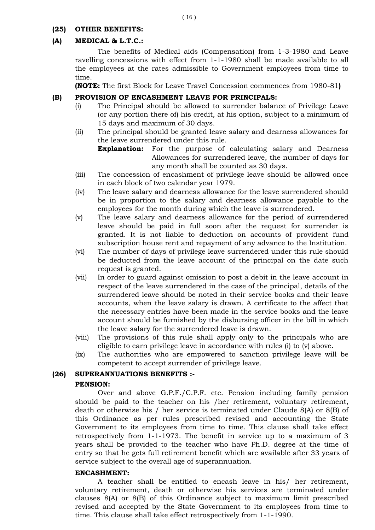## **(25) OTHER BENEFITS:**

## **(A) MEDICAL & L.T.C.:**

The benefits of Medical aids (Compensation) from 1-3-1980 and Leave ravelling concessions with effect from 1-1-1980 shall be made available to all the employees at the rates admissible to Government employees from time to time.

**(NOTE:** The first Block for Leave Travel Concession commences from 1980-81**)**

## **(B) PROVISION OF ENCASHMENT LEAVE FOR PRINCIPALS:**

- (i) The Principal should be allowed to surrender balance of Privilege Leave (or any portion there of) his credit, at his option, subject to a minimum of 15 days and maximum of 30 days.
- (ii) The principal should be granted leave salary and dearness allowances for the leave surrendered under this rule.

**Explanation:** For the purpose of calculating salary and Dearness Allowances for surrendered leave, the number of days for any month shall be counted as 30 days.

- (iii) The concession of encashment of privilege leave should be allowed once in each block of two calendar year 1979.
- (iv) The leave salary and dearness allowance for the leave surrendered should be in proportion to the salary and dearness allowance payable to the employees for the month during which the leave is surrendered.
- (v) The leave salary and dearness allowance for the period of surrendered leave should be paid in full soon after the request for surrender is granted. It is not liable to deduction on accounts of provident fund subscription house rent and repayment of any advance to the Institution.
- (vi) The number of days of privilege leave surrendered under this rule should be deducted from the leave account of the principal on the date such request is granted.
- (vii) In order to guard against omission to post a debit in the leave account in respect of the leave surrendered in the case of the principal, details of the surrendered leave should be noted in their service books and their leave accounts, when the leave salary is drawn. A certificate to the affect that the necessary entries have been made in the service books and the leave account should be furnished by the disbursing officer in the bill in which the leave salary for the surrendered leave is drawn.
- (viii) The provisions of this rule shall apply only to the principals who are eligible to earn privilege leave in accordance with rules (i) to (v) above.
- (ix) The authorities who are empowered to sanction privilege leave will be competent to accept surrender of privilege leave.

# **(26) SUPERANNUATIONS BENEFITS :-**

#### **PENSION:**

Over and above G.P.F./C.P.F. etc. Pension including family pension should be paid to the teacher on his /her retirement, voluntary retirement, death or otherwise his / her service is terminated under Claude 8(A) or 8(B) of this Ordinance as per rules prescribed revised and accounting the State Government to its employees from time to time. This clause shall take effect retrospectively from 1-1-1973. The benefit in service up to a maximum of 3 years shall be provided to the teacher who have Ph.D. degree at the time of entry so that he gets full retirement benefit which are available after 33 years of service subject to the overall age of superannuation.

#### **ENCASHMENT:**

A teacher shall be entitled to encash leave in his/ her retirement, voluntary retirement, death or otherwise his services are terminated under clauses 8(A) or 8(B) of this Ordinance subject to maximum limit prescribed revised and accepted by the State Government to its employees from time to time. This clause shall take effect retrospectively from 1-1-1990.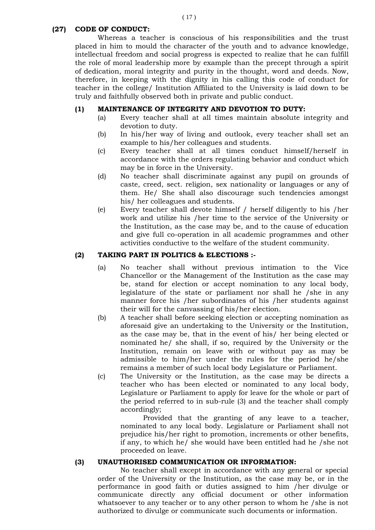#### ( 17 )

## **(27) CODE OF CONDUCT:**

Whereas a teacher is conscious of his responsibilities and the trust placed in him to mould the character of the youth and to advance knowledge, intellectual freedom and social progress is expected to realize that he can fulfill the role of moral leadership more by example than the precept through a spirit of dedication, moral integrity and purity in the thought, word and deeds. Now, therefore, in keeping with the dignity in his calling this code of conduct for teacher in the college/ Institution Affiliated to the University is laid down to be truly and faithfully observed both in private and public conduct.

## **(1) MAINTENANCE OF INTEGRITY AND DEVOTION TO DUTY:**

- (a) Every teacher shall at all times maintain absolute integrity and devotion to duty.
- (b) In his/her way of living and outlook, every teacher shall set an example to his/her colleagues and students.
- (c) Every teacher shall at all times conduct himself/herself in accordance with the orders regulating behavior and conduct which may be in force in the University.
- (d) No teacher shall discriminate against any pupil on grounds of caste, creed, sect. religion, sex nationality or languages or any of them. He/ She shall also discourage such tendencies amongst his/ her colleagues and students.
- (e) Every teacher shall devote himself / herself diligently to his /her work and utilize his /her time to the service of the University or the Institution, as the case may be, and to the cause of education and give full co-operation in all academic programmes and other activities conductive to the welfare of the student community.

#### **(2) TAKING PART IN POLITICS & ELECTIONS :-**

- (a) No teacher shall without previous intimation to the Vice Chancellor or the Management of the Institution as the case may be, stand for election or accept nomination to any local body, legislature of the state or parliament nor shall he /she in any manner force his /her subordinates of his /her students against their will for the canvassing of his/her election.
- (b) A teacher shall before seeking election or accepting nomination as aforesaid give an undertaking to the University or the Institution, as the case may be, that in the event of his/ her being elected or nominated he/ she shall, if so, required by the University or the Institution, remain on leave with or without pay as may be admissible to him/her under the rules for the period he/she remains a member of such local body Legislature or Parliament.
- (c) The University or the Institution, as the case may be directs a teacher who has been elected or nominated to any local body, Legislature or Parliament to apply for leave for the whole or part of the period referred to in sub-rule (3) and the teacher shall comply accordingly;

Provided that the granting of any leave to a teacher, nominated to any local body. Legislature or Parliament shall not prejudice his/her right to promotion, increments or other benefits, if any, to which he/ she would have been entitled had he /she not proceeded on leave.

#### **(3) UNAUTHORISED COMMUNICATION OR INFORMATION:**

No teacher shall except in accordance with any general or special order of the University or the Institution, as the case may be, or in the performance in good faith or duties assigned to him /her divulge or communicate directly any official document or other information whatsoever to any teacher or to any other person to whom he /she is not authorized to divulge or communicate such documents or information.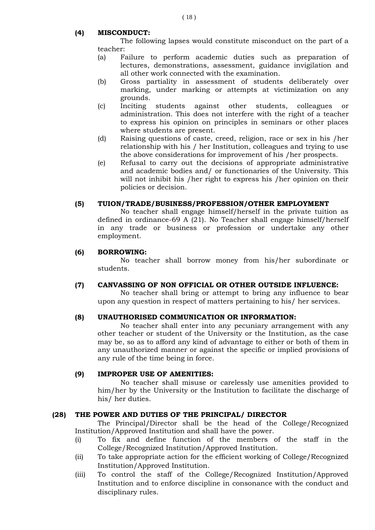## **(4) MISCONDUCT:**

The following lapses would constitute misconduct on the part of a teacher:

- (a) Failure to perform academic duties such as preparation of lectures, demonstrations, assessment, guidance invigilation and all other work connected with the examination.
- (b) Gross partiality in assessment of students deliberately over marking, under marking or attempts at victimization on any grounds.
- (c) Inciting students against other students, colleagues or administration. This does not interfere with the right of a teacher to express his opinion on principles in seminars or other places where students are present.
- (d) Raising questions of caste, creed, religion, race or sex in his /her relationship with his / her Institution, colleagues and trying to use the above considerations for improvement of his /her prospects.
- (e) Refusal to carry out the decisions of appropriate administrative and academic bodies and/ or functionaries of the University. This will not inhibit his /her right to express his /her opinion on their policies or decision.

## **(5) TUION/TRADE/BUSINESS/PROFESSION/OTHER EMPLOYMENT**

No teacher shall engage himself/herself in the private tuition as defined in ordinance-69 A (21). No Teacher shall engage himself/herself in any trade or business or profession or undertake any other employment.

## **(6) BORROWING:**

No teacher shall borrow money from his/her subordinate or students.

## **(7) CANVASSING OF NON OFFICIAL OR OTHER OUTSIDE INFLUENCE:**

No teacher shall bring or attempt to bring any influence to bear upon any question in respect of matters pertaining to his/ her services.

#### **(8) UNAUTHORISED COMMUNICATION OR INFORMATION:**

No teacher shall enter into any pecuniary arrangement with any other teacher or student of the University or the Institution, as the case may be, so as to afford any kind of advantage to either or both of them in any unauthorized manner or against the specific or implied provisions of any rule of the time being in force.

#### **(9) IMPROPER USE OF AMENITIES:**

No teacher shall misuse or carelessly use amenities provided to him/her by the University or the Institution to facilitate the discharge of his/ her duties.

## **(28) THE POWER AND DUTIES OF THE PRINCIPAL/ DIRECTOR**

The Principal/Director shall be the head of the College/Recognized Institution/Approved Institution and shall have the power.

- (i) To fix and define function of the members of the staff in the College/Recognized Institution/Approved Institution.
- (ii) To take appropriate action for the efficient working of College/Recognized Institution/Approved Institution.
- (iii) To control the staff of the College/Recognized Institution/Approved Institution and to enforce discipline in consonance with the conduct and disciplinary rules.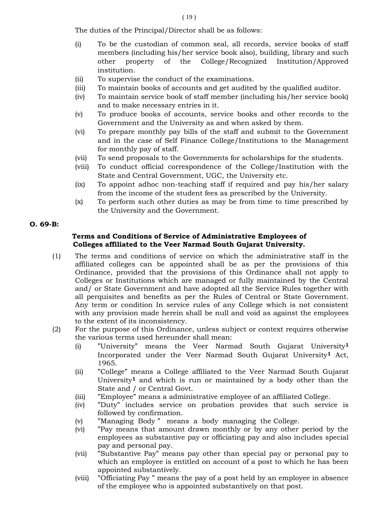The duties of the Principal/Director shall be as follows:

- (i) To be the custodian of common seal, all records, service books of staff members (including his/her service book also), building, library and such other property of the College/Recognized Institution/Approved institution.
- (ii) To supervise the conduct of the examinations.
- (iii) To maintain books of accounts and get audited by the qualified auditor.
- (iv) To maintain service book of staff member (including his/her service book) and to make necessary entries in it.
- (v) To produce books of accounts, service books and other records to the Government and the University as and when asked by them.
- (vi) To prepare monthly pay bills of the staff and submit to the Government and in the case of Self Finance College/Institutions to the Management for monthly pay of staff.
- (vii) To send proposals to the Governments for scholarships for the students.
- (viii) To conduct official correspondence of the College/Institution with the State and Central Government, UGC, the University etc.
- (ix) To appoint adhoc non-teaching staff if required and pay his/her salary from the income of the student fees as prescribed by the University.
- (x) To perform such other duties as may be from time to time prescribed by the University and the Government.

## **O. 69-B:**

## **Terms and Conditions of Service of Administrative Employees of Colleges affiliated to the Veer Narmad South Gujarat University.**

- (1) The terms and conditions of service on which the administrative staff in the affiliated colleges can be appointed shall be as per the provisions of this Ordinance, provided that the provisions of this Ordinance shall not apply to Colleges or Institutions which are managed or fully maintained by the Central and/ or State Government and have adopted all the Service Rules together with all perquisites and benefits as per the Rules of Central or State Government. Any term or condition In service rules of any College which is not consistent with any provision made herein shall be null and void as against the employees to the extent of its inconsistency.
- (2) For the purpose of this Ordinance, unless subject or context requires otherwise the various terms used hereunder shall mean:
	- (i) "University" means the Veer Narmad South Gujarat University**<sup>1</sup>** Incorporated under the Veer Narmad South Gujarat University**<sup>1</sup>** Act, 1965.
	- (ii) "College" means a College affiliated to the Veer Narmad South Gujarat University**<sup>1</sup>** and which is run or maintained by a body other than the State and / or Central Govt.
	- (iii) "Employee" means a administrative employee of an affiliated College.
	- (iv) "Duty" includes service on probation provides that such service is followed by confirmation.
	- (v) "Managing Body " means a body managing the College.
	- (vi) "Pay means that amount drawn monthly or by any other period by the employees as substantive pay or officiating pay and also includes special pay and personal pay.
	- (vii) "Substantive Pay" means pay other than special pay or personal pay to which an employee is entitled on account of a post to which he has been appointed substantively.
	- (viii) "Officiating Pay " means the pay of a post held by an employee in absence of the employee who is appointed substantively on that post.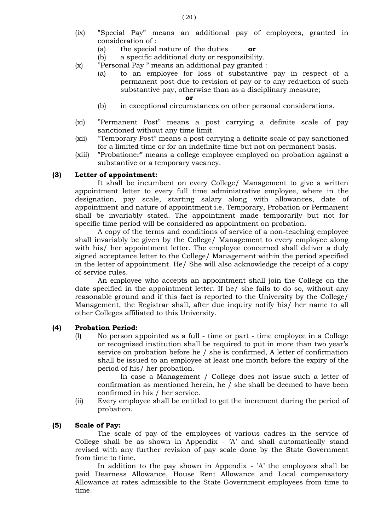- (ix) "Special Pay" means an additional pay of employees, granted in consideration of :
	- (a) the special nature of the duties **or**
	- (b) a specific additional duty or responsibility.
- (x) "Personal Pay " means an additional pay granted :
	- (a) to an employee for loss of substantive pay in respect of a permanent post due to revision of pay or to any reduction of such substantive pay, otherwise than as a disciplinary measure;

#### **or**

- (b) in exceptional circumstances on other personal considerations.
- (xi) "Permanent Post" means a post carrying a definite scale of pay sanctioned without any time limit.
- (xii) "Temporary Post" means a post carrying a definite scale of pay sanctioned for a limited time or for an indefinite time but not on permanent basis.
- (xiii) "Probationer" means a college employee employed on probation against a substantive or a temporary vacancy.

#### **(3) Letter of appointment:**

It shall be incumbent on every College/ Management to give a written appointment letter to every full time administrative employee, where in the designation, pay scale, starting salary along with allowances, date of appointment and nature of appointment i.e. Temporary, Probation or Permanent shall be invariably stated. The appointment made temporarily but not for specific time period will be considered as appointment on probation.

A copy of the terms and conditions of service of a non-teaching employee shall invariably be given by the College/ Management to every employee along with his/ her appointment letter. The employee concerned shall deliver a duly signed acceptance letter to the College/ Management within the period specified in the letter of appointment. He/ She will also acknowledge the receipt of a copy of service rules.

An employee who accepts an appointment shall join the College on the date specified in the appointment letter. If he/ she fails to do so, without any reasonable ground and if this fact is reported to the University by the College/ Management, the Registrar shall, after due inquiry notify his/ her name to all other Colleges affiliated to this University.

#### **(4) Probation Period:**

(I) No person appointed as a full - time or part - time employee in a College or recognised institution shall be required to put in more than two year's service on probation before he / she is confirmed, A letter of confirmation shall be issued to an employee at least one month before the expiry of the period of his/ her probation.

In case a Management / College does not issue such a letter of confirmation as mentioned herein, he / she shall be deemed to have been confirmed in his / her service.

(ii) Every employee shall be entitled to get the increment during the period of probation.

#### **(5) Scale of Pay:**

The scale of pay of the employees of various cadres in the service of College shall be as shown in Appendix - 'A' and shall automatically stand revised with any further revision of pay scale done by the State Government from time to time.

In addition to the pay shown in Appendix - 'A' the employees shall be paid Dearness Allowance, House Rent Allowance and Local compensatory Allowance at rates admissible to the State Government employees from time to time.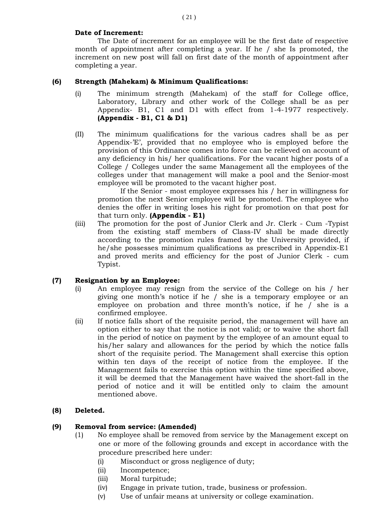## **Date of Increment:**

The Date of increment for an employee will be the first date of respective month of appointment after completing a year. If he / she Is promoted, the increment on new post will fall on first date of the month of appointment after completing a year.

## **(6) Strength (Mahekam) & Minimum Qualifications:**

- (i) The minimum strength (Mahekam) of the staff for College office, Laboratory, Library and other work of the College shall be as per Appendix- B1, C1 and D1 with effect from 1-4-1977 respectively. **(Appendix - B1, C1 & D1)**
- (II) The minimum qualifications for the various cadres shall be as per Appendix-'E', provided that no employee who is employed before the provision of this Ordinance comes into force can be relieved on account of any deficiency in his/ her qualifications. For the vacant higher posts of a College / Colleges under the same Management all the employees of the colleges under that management will make a pool and the Senior-most employee will be promoted to the vacant higher post.

If the Senior - most employee expresses his / her in willingness for promotion the next Senior employee will be promoted. The employee who denies the offer in writing loses his right for promotion on that post for that turn only. **(Appendix - E1)**

(iii) The promotion for the post of Junior Clerk and Jr. Clerk - Cum -Typist from the existing staff members of Class-IV shall be made directly according to the promotion rules framed by the University provided, if he/she possesses minimum qualifications as prescribed in Appendix-E1 and proved merits and efficiency for the post of Junior Clerk - cum Typist.

## **(7) Resignation by an Employee:**

- (i) An employee may resign from the service of the College on his / her giving one month's notice if he / she is a temporary employee or an employee on probation and three month's notice, if he / she is a confirmed employee.
- (ii) If notice falls short of the requisite period, the management will have an option either to say that the notice is not valid; or to waive the short fall in the period of notice on payment by the employee of an amount equal to his/her salary and allowances for the period by which the notice falls short of the requisite period. The Management shall exercise this option within ten days of the receipt of notice from the employee. If the Management fails to exercise this option within the time specified above, it will be deemed that the Management have waived the short-fall in the period of notice and it will be entitled only to claim the amount mentioned above.

# **(8) Deleted.**

## **(9) Removal from service: (Amended)**

- (1) No employee shall be removed from service by the Management except on one or more of the following grounds and except in accordance with the procedure prescribed here under:
	- (i) Misconduct or gross negligence of duty;
	- (ii) Incompetence;
	- (iii) Moral turpitude;
	- (iv) Engage in private tution, trade, business or profession.
	- (v) Use of unfair means at university or college examination.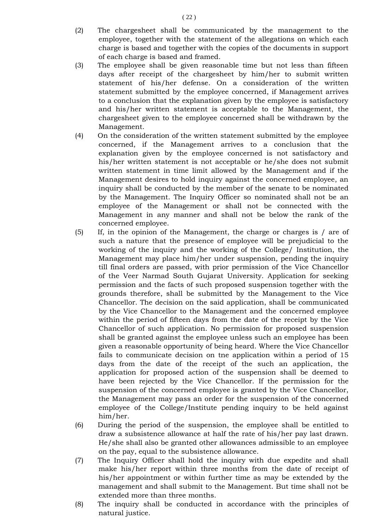- (2) The chargesheet shall be communicated by the management to the employee, together with the statement of the allegations on which each charge is based and together with the copies of the documents in support of each charge is based and framed.
- (3) The employee shall be given reasonable time but not less than fifteen days after receipt of the chargesheet by him/her to submit written statement of his/her defense. On a consideration of the written statement submitted by the employee concerned, if Management arrives to a conclusion that the explanation given by the employee is satisfactory and his/her written statement is acceptable to the Management, the chargesheet given to the employee concerned shall be withdrawn by the Management.
- (4) On the consideration of the written statement submitted by the employee concerned, if the Management arrives to a conclusion that the explanation given by the employee concerned is not satisfactory and his/her written statement is not acceptable or he/she does not submit written statement in time limit allowed by the Management and if the Management desires to hold inquiry against the concerned employee, an inquiry shall be conducted by the member of the senate to be nominated by the Management. The Inquiry Officer so nominated shall not be an employee of the Management or shall not be connected with the Management in any manner and shall not be below the rank of the concerned employee.
- (5) If, in the opinion of the Management, the charge or charges is / are of such a nature that the presence of employee will be prejudicial to the working of the inquiry and the working of the College/ Institution, the Management may place him/her under suspension, pending the inquiry till final orders are passed, with prior permission of the Vice Chancellor of the Veer Narmad South Gujarat University. Application for seeking permission and the facts of such proposed suspension together with the grounds therefore, shall be submitted by the Management to the Vice Chancellor. The decision on the said application, shall be communicated by the Vice Chancellor to the Management and the concerned employee within the period of fifteen days from the date of the receipt by the Vice Chancellor of such application. No permission for proposed suspension shall be granted against the employee unless such an employee has been given a reasonable opportunity of being heard. Where the Vice Chancellor fails to communicate decision on tne application within a period of 15 days from the date of the receipt of the such an application, the application for proposed action of the suspension shall be deemed to have been rejected by the Vice Chancellor. If the permission for the suspension of the concerned employee is granted by the Vice Chancellor, the Management may pass an order for the suspension of the concerned employee of the College/Institute pending inquiry to be held against him/her.
- (6) During the period of the suspension, the employee shall be entitled to draw a subsistence allowance at half the rate of his/her pay last drawn. He/she shall also be granted other allowances admissible to an employee on the pay, equal to the subsistence allowance.
- (7) The Inquiry Officer shall hold the inquiry with due expedite and shall make his/her report within three months from the date of receipt of his/her appointment or within further time as may be extended by the management and shall submit to the Management. But time shall not be extended more than three months.
- (8) The inquiry shall be conducted in accordance with the principles of natural justice.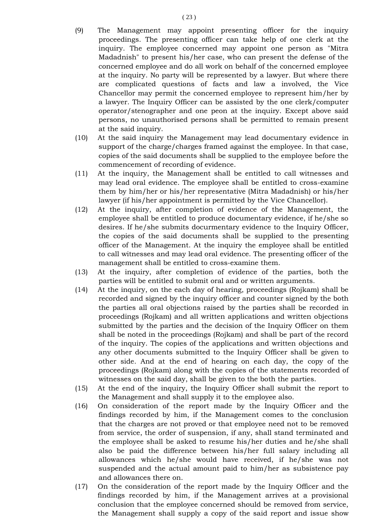- (9) The Management may appoint presenting officer for the inquiry proceedings. The presenting officer can take help of one clerk at the inquiry. The employee concerned may appoint one person as "Mitra Madadnish" to present his/her case, who can present the defense of the concerned employee and do all work on behalf of the concerned employee at the inquiry. No party will be represented by a lawyer. But where there are complicated questions of facts and law a involved, the Vice Chancellor may permit the concerned employee to represent him/her by a lawyer. The Inquiry Officer can be assisted by the one clerk/computer operator/stenographer and one peon at the inquiry. Except above said persons, no unauthorised persons shall be permitted to remain present at the said inquiry.
- (10) At the said inquiry the Management may lead documentary evidence in support of the charge/charges framed against the employee. In that case, copies of the said documents shall be supplied to the employee before the commencement of recording of evidence.
- (11) At the inquiry, the Management shall be entitled to call witnesses and may lead oral evidence. The employee shall be entitled to cross-examine them by him/her or his/her representative (Mitra Madadnish) or his/her lawyer (if his/her appointment is permitted by the Vice Chancellor).
- (12) At the inquiry, after completion of evidence of the Management, the employee shall be entitled to produce documentary evidence, if he/she so desires. If he/she submits docurmentary evidence to the Inquiry Officer, the copies of the said documents shall be supplied to the presenting officer of the Management. At the inquiry the employee shall be entitled to call witnesses and may lead oral evidence. The presenting officer of the management shall be entitled to cross-examine them.
- (13) At the inquiry, after completion of evidence of the parties, both the parties will be entitled to submit oral and or written arguments.
- (14) At the inquiry, on the each day of hearing, proceedings (Rojkam) shall be recorded and signed by the inquiry officer and counter signed by the both the parties all oral objections raised by the parties shall be recorded in proceedings (Rojkam) and all written applications and written objections submitted by the parties and the decision of the Inquiry Officer on them shall be noted in the proceedings (Rojkam) and shall be part of the record of the inquiry. The copies of the applications and written objections and any other documents submitted to the Inquiry Officer shall be given to other side. And at the end of hearing on each day, the copy of the proceedings (Rojkam) along with the copies of the statements recorded of witnesses on the said day, shall be given to the both the parties.
- (15) At the end of the inquiry, the Inquiry Officer shall submit the report to the Management and shall supply it to the employee also.
- (16) On consideration of the report made by the Inquiry Officer and the findings recorded by him, if the Management comes to the conclusion that the charges are not proved or that employee need not to be removed from service, the order of suspension, if any, shall stand terminated and the employee shall be asked to resume his/her duties and he/she shall also be paid the difference between his/her full salary including all allowances which he/she would have received, if he/she was not suspended and the actual amount paid to him/her as subsistence pay and allowances there on.
- (17) On the consideration of the report made by the Inquiry Officer and the findings recorded by him, if the Management arrives at a provisional conclusion that the employee concerned should be removed from service, the Management shall supply a copy of the said report and issue show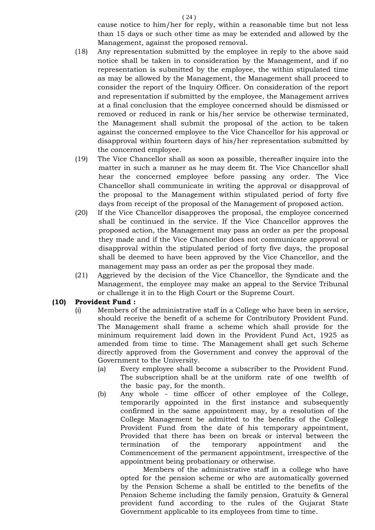cause notice to him/her for reply, within a reasonable time but not less than 15 days or such other time as may be extended and allowed by the Management, against the proposed removal.

- (18) Any representation submitted by the employee in reply to the above said notice shall be taken in to consideration by the Management, and if no representation is submitted by the employee, the within stipulated time as may be allowed by the Management, the Management shall proceed to consider the report of the Inquiry Officer. On consideration of the report and representation if submitted by the employee, the Management arrives at a final conclusion that the employee concerned should be dismissed or removed or reduced in rank or his/her service be otherwise terminated, the Management shall submit the proposal of the action to be taken against the concerned employee to the Vice Chancellor for his approval or disapproval within fourteen days of his/her representation submitted by the concerned employee.
- (19) The Vice Chancellor shall as soon as possible, thereafter inquire into the matter in such a manner as he may deem fit. The Vice Chancellor shall hear the concerned employee before passing any order. The Vice Chancellor shall communicate in writing the approval or disapproval of the proposal to the Management within stipulated period of forty five days from receipt of the proposal of the Management of proposed action.
- (20) If the Vice Chancellor disapproves the proposal, the employee concerned shall be continued in the service. If the Vice Chancellor approves the proposed action, the Management may pass an order as per the proposal they made and if the Vice Chancellor does not communicate approval or disapproval within the stipulated period of forty five days, the proposal shall be deemed to have been approved by the Vice Chancellor, and the management may pass an order as per the proposal they made.
- (21) Aggrieved by the decision of the Vice Chancellor, the Syndicate and the Management, the employee may make an appeal to the Service Tribunal or challenge it in to the High Court or the Supreme Court.

## **(10) Provident Fund :**

- (i) Members of the administrative staff in a College who have been in service, should receive the benefit of a scheme for Contributory Provident Fund. The Management shall frame a scheme which shall provide for the minimum requirement laid down in the Provident Fund Act, 1925 as amended from time to time. The Management shall get such Scheme directly approved from the Government and convey the approval of the Government to the University.
	- (a) Every employee shall become a subscriber to the Provident Fund. The subscription shall be at the uniform rate of one twelfth of the basic pay, for the month.
	- (b) Any whole time officer of other employee of the College, temporarily appointed in the first instance and subsequently confirmed in the same appointment may, by a resolution of the College Management be admitted to the benefits of the College Provident Fund from the date of his temporary appointment, Provided that there has been on break or interval between the termination of the temporary appointment and the Commencement of the permanent appointment, irrespective of the appointment being probationary or otherwise.

Members of the administrative staff in a college who have opted for the pension scheme or who are automatically governed by the Pension Scheme a shall be entitled to the benefits of the Pension Scheme including the family pension, Gratuity & General provident fund according to the rules of the Gujarat State Government applicable to its employees from time to time.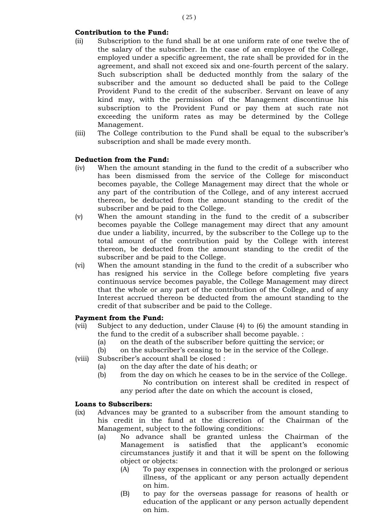## **Contribution to the Fund:**

- (ii) Subscription to the fund shall be at one uniform rate of one twelve the of the salary of the subscriber. In the case of an employee of the College, employed under a specific agreement, the rate shall be provided for in the agreement, and shall not exceed six and one-fourth percent of the salary. Such subscription shall be deducted monthly from the salary of the subscriber and the amount so deducted shall be paid to the College Provident Fund to the credit of the subscriber. Servant on leave of any kind may, with the permission of the Management discontinue his subscription to the Provident Fund or pay them at such rate not exceeding the uniform rates as may be determined by the College Management.
- (iii) The College contribution to the Fund shall be equal to the subscriber's subscription and shall be made every month.

#### **Deduction from the Fund:**

- (iv) When the amount standing in the fund to the credit of a subscriber who has been dismissed from the service of the College for misconduct becomes payable, the College Management may direct that the whole or any part of the contribution of the College, and of any interest accrued thereon, be deducted from the amount standing to the credit of the subscriber and be paid to the College.
- (v) When the amount standing in the fund to the credit of a subscriber becomes payable the College management may direct that any amount due under a liability, incurred, by the subscriber to the College up to the total amount of the contribution paid by the College with interest thereon, be deducted from the amount standing to the credit of the subscriber and be paid to the College.
- (vi) When the amount standing in the fund to the credit of a subscriber who has resigned his service in the College before completing five years continuous service becomes payable, the College Management may direct that the whole or any part of the contribution of the College, and of any Interest accrued thereon be deducted from the amount standing to the credit of that subscriber and be paid to the College.

#### **Payment from the Fund:**

- (vii) Subject to any deduction, under Clause (4) to (6) the amount standing in the fund to the credit of a subscriber shall become payable. :
	- (a) on the death of the subscriber before quitting the service; or
	- (b) on the subscriber's ceasing to be in the service of the College.
- (viii) Subscriber's account shall be closed :
	- (a) on the day after the date of his death; or
	- (b) from the day on which he ceases to be in the service of the College. No contribution on interest shall be credited in respect of any period after the date on which the account is closed,

#### **Loans to Subscribers:**

- (ix) Advances may be granted to a subscriber from the amount standing to his credit in the fund at the discretion of the Chairman of the Management, subject to the following conditions:
	- (a) No advance shall be granted unless the Chairman of the Management is satisfied that the applicant's economic circumstances justify it and that it will be spent on the following object or objects:
		- (A) To pay expenses in connection with the prolonged or serious illness, of the applicant or any person actually dependent on him.
		- (B) to pay for the overseas passage for reasons of health or education of the applicant or any person actually dependent on him.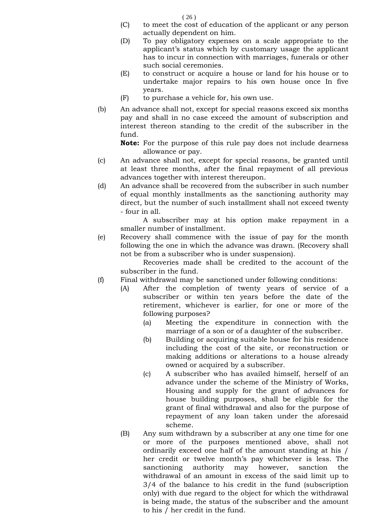( 26 )

- (C) to meet the cost of education of the applicant or any person actually dependent on him.
- (D) To pay obligatory expenses on a scale appropriate to the applicant's status which by customary usage the applicant has to incur in connection with marriages, funerals or other such social ceremonies.
- (E) to construct or acquire a house or land for his house or to undertake major repairs to his own house once In five years.
- (F) to purchase a vehicle for, his own use.
- (b) An advance shall not, except for special reasons exceed six months pay and shall in no case exceed the amount of subscription and interest thereon standing to the credit of the subscriber in the fund.

**Note:** For the purpose of this rule pay does not include dearness allowance or pay.

- (c) An advance shall not, except for special reasons, be granted until at least three months, after the final repayment of all previous advances together with interest thereupon.
- (d) An advance shall be recovered from the subscriber in such number of equal monthly installments as the sanctioning authority may direct, but the number of such installment shall not exceed twenty - four in all.

A subscriber may at his option make repayment in a smaller number of installment.

(e) Recovery shall commence with the issue of pay for the month following the one in which the advance was drawn. (Recovery shall not be from a subscriber who is under suspension).

Recoveries made shall be credited to the account of the subscriber in the fund.

- (f) Final withdrawal may be sanctioned under following conditions:
	- (A) After the completion of twenty years of service of a subscriber or within ten years before the date of the retirement, whichever is earlier, for one or more of the following purposes?
		- (a) Meeting the expenditure in connection with the marriage of a son or of a daughter of the subscriber.
		- (b) Building or acquiring suitable house for his residence including the cost of the site, or reconstruction or making additions or alterations to a house already owned or acquired by a subscriber.
		- (c) A subscriber who has availed himself, herself of an advance under the scheme of the Ministry of Works, Housing and supply for the grant of advances for house building purposes, shall be eligible for the grant of final withdrawal and also for the purpose of repayment of any loan taken under the aforesaid scheme.
	- (B) Any sum withdrawn by a subscriber at any one time for one or more of the purposes mentioned above, shall not ordinarily exceed one half of the amount standing at his / her credit or twelve month's pay whichever is less. The sanctioning authority may however, sanction the withdrawal of an amount in excess of the said limit up to 3/4 of the balance to his credit in the fund (subscription only) with due regard to the object for which the withdrawal is being made, the status of the subscriber and the amount to his / her credit in the fund.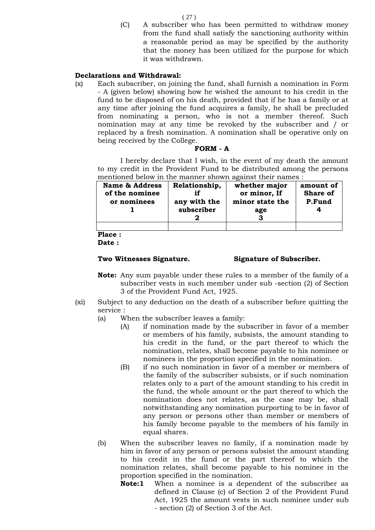( 27 )

(C) A subscriber who has been permitted to withdraw money from the fund shall satisfy the sanctioning authority within a reasonable period as may be specified by the authority that the money has been utilized for the purpose for which it was withdrawn.

## **Declarations and Withdrawal:**

(x) Each subscriber, on joining the fund, shall furnish a nomination in Form - A (given below) showing how he wished the amount to his credit in the fund to be disposed of on his death, provided that if he has a family or at any time after joining the fund acquires a family, he shall be precluded from nominating a person, who is not a member thereof. Such nomination may at any time be revoked by the subscriber and / or replaced by a fresh nomination. A nomination shall be operative only on being received by the College.

#### **FORM - A**

I hereby declare that I wish, in the event of my death the amount to my credit in the Provident Fund to be distributed among the persons mentioned below in the manner shown against their names :

| <b>Name &amp; Address</b><br>of the nominee<br>or nominees | Relationship,<br>any with the<br>subscriber | whether major<br>or minor, If<br>minor state the<br>age | amount of<br><b>Share of</b><br>P.Fund |
|------------------------------------------------------------|---------------------------------------------|---------------------------------------------------------|----------------------------------------|
|                                                            |                                             |                                                         |                                        |

**Place :**

**Date :**

#### **Two Witnesses Signature. Signature of Subscriber.**

- **Note:** Any sum payable under these rules to a member of the family of a subscriber vests in such member under sub -section (2) of Section 3 of the Provident Fund Act, 1925.
- (xi) Subject to any deduction on the death of a subscriber before quitting the service :
	- (a) When the subscriber leaves a family:
		- (A) if nomination made by the subscriber in favor of a member or members of his family, subsists, the amount standing to his credit in the fund, or the part thereof to which the nomination, relates, shall become payable to his nominee or nominees in the proportion specified in the nomination.
			- (B) if no such nomination in favor of a member or members of the family of the subscriber subsists, or if such nomination relates only to a part of the amount standing to his credit in the fund, the whole amount or the part thereof to which the nomination does not relates, as the case may be, shall notwithstanding any nomination purporting to be in favor of any person or persons other than member or members of his family become payable to the members of his family in equal shares.
	- (b) When the subscriber leaves no family, if a nomination made by him in favor of any person or persons subsist the amount standing to his credit in the fund or the part thereof to which the nomination relates, shall become payable to his nominee in the proportion specified in the nomination.
		- **Note:1** When a nominee is a dependent of the subscriber as defined in Clause (c) of Section 2 of the Provident Fund Act, 1925 the amount vests in such nominee under sub - section (2) of Section 3 of the Act.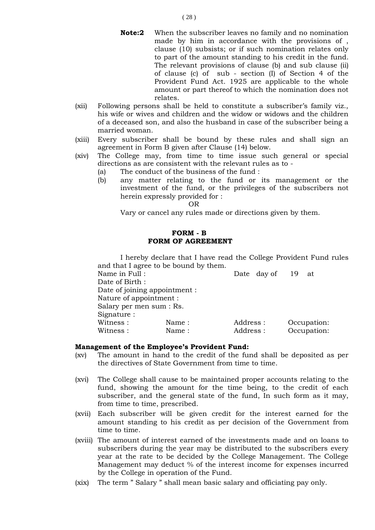- **Note:2** When the subscriber leaves no family and no nomination made by him in accordance with the provisions of , clause (10) subsists; or if such nomination relates only to part of the amount standing to his credit in the fund. The relevant provisions of clause (b) and sub clause (ii) of clause (c) of sub - section (I) of Section 4 of the Provident Fund Act. 1925 are applicable to the whole amount or part thereof to which the nomination does not relates.
- (xii) Following persons shall be held to constitute a subscriber's family viz., his wife or wives and children and the widow or widows and the children of a deceased son, and also the husband in case of the subscriber being a married woman.
- (xiii) Every subscriber shall be bound by these rules and shall sign an agreement in Form B given after Clause (14) below.
- (xiv) The College may, from time to time issue such general or special directions as are consistent with the relevant rules as to -
	- (a) The conduct of the business of the fund :
	- (b) any matter relating to the fund or its management or the investment of the fund, or the privileges of the subscribers not herein expressly provided for :

OR

Vary or cancel any rules made or directions given by them.

## **FORM - B FORM OF AGREEMENT**

I hereby declare that I have read the College Provident Fund rules and that I agree to be bound by them.

| Name in Full :           |                               | Date day of 19 at |             |  |
|--------------------------|-------------------------------|-------------------|-------------|--|
| Date of Birth :          |                               |                   |             |  |
|                          | Date of joining appointment : |                   |             |  |
| Nature of appointment :  |                               |                   |             |  |
| Salary per men sum : Rs. |                               |                   |             |  |
| Signature :              |                               |                   |             |  |
| Witness :                | Name:                         | Address :         | Occupation: |  |
| Witness :                | Name:                         | Address:          | Occupation: |  |
|                          |                               |                   |             |  |

#### **Management of the Employee's Provident Fund:**

- (xv) The amount in hand to the credit of the fund shall be deposited as per the directives of State Government from time to time.
- (xvi) The College shall cause to be maintained proper accounts relating to the fund, showing the amount for the time being, to the credit of each subscriber, and the general state of the fund, In such form as it may, from time to time, prescribed.
- (xvii) Each subscriber will be given credit for the interest earned for the amount standing to his credit as per decision of the Government from time to time.
- (xviii) The amount of interest earned of the investments made and on loans to subscribers during the year may be distributed to the subscribers every year at the rate to be decided by the College Management. The College Management may deduct % of the interest income for expenses incurred by the College in operation of the Fund.
- (xix) The term " Salary " shall mean basic salary and officiating pay only.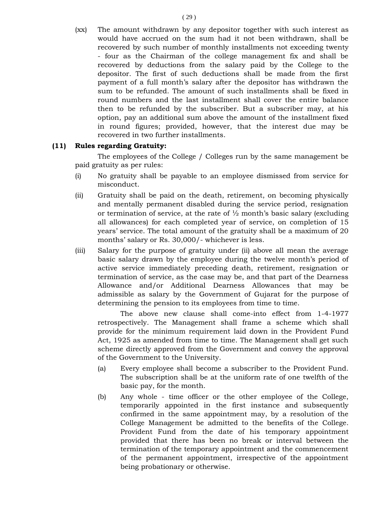(xx) The amount withdrawn by any depositor together with such interest as would have accrued on the sum had it not been withdrawn, shall be recovered by such number of monthly installments not exceeding twenty - four as the Chairman of the college management fix and shall be recovered by deductions from the salary paid by the College to the depositor. The first of such deductions shall be made from the first payment of a full month's salary after the depositor has withdrawn the sum to be refunded. The amount of such installments shall be fixed in round numbers and the last installment shall cover the entire balance then to be refunded by the subscriber. But a subscriber may, at his option, pay an additional sum above the amount of the installment fixed in round figures; provided, however, that the interest due may be recovered in two further installments.

## **(11) Rules regarding Gratuity:**

The employees of the College / Colleges run by the same management be paid gratuity as per rules:

- (i) No gratuity shall be payable to an employee dismissed from service for misconduct.
- (ii) Gratuity shall be paid on the death, retirement, on becoming physically and mentally permanent disabled during the service period, resignation or termination of service, at the rate of  $\frac{1}{2}$  month's basic salary (excluding all allowances) for each completed year of service, on completion of 15 years' service. The total amount of the gratuity shall be a maximum of 20 months' salary or Rs. 30,000/- whichever is less.
- (iii) Salary for the purpose of gratuity under (ii) above all mean the average basic salary drawn by the employee during the twelve month's period of active service immediately preceding death, retirement, resignation or termination of service, as the case may be, and that part of the Dearness Allowance and/or Additional Dearness Allowances that may be admissible as salary by the Government of Gujarat for the purpose of determining the pension to its employees from time to time.

The above new clause shall come-into effect from 1-4-1977 retrospectively. The Management shall frame a scheme which shall provide for the minimum requirement laid down in the Provident Fund Act, 1925 as amended from time to time. The Management shall get such scheme directly approved from the Government and convey the approval of the Government to the University.

- (a) Every employee shall become a subscriber to the Provident Fund. The subscription shall be at the uniform rate of one twelfth of the basic pay, for the month.
- (b) Any whole time officer or the other employee of the College, temporarily appointed in the first instance and subsequently confirmed in the same appointment may, by a resolution of the College Management be admitted to the benefits of the College. Provident Fund from the date of his temporary appointment provided that there has been no break or interval between the termination of the temporary appointment and the commencement of the permanent appointment, irrespective of the appointment being probationary or otherwise.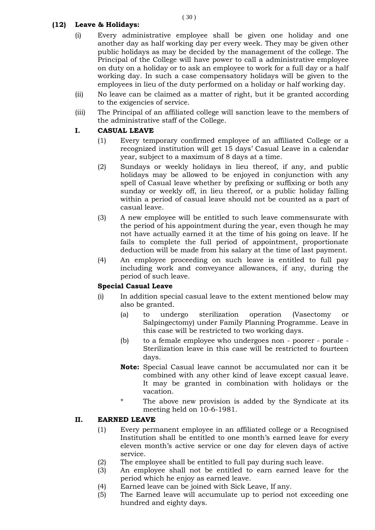## **(12) Leave & Holidays:**

- (i) Every administrative employee shall be given one holiday and one another day as half working day per every week. They may be given other public holidays as may be decided by the management of the college. The Principal of the College will have power to call a administrative employee on duty on a holiday or to ask an employee to work for a full day or a half working day. In such a case compensatory holidays will be given to the employees in lieu of the duty performed on a holiday or half working day.
- (ii) No leave can be claimed as a matter of right, but it be granted according to the exigencies of service.
- (iii) The Principal of an affiliated college will sanction leave to the members of the administrative staff of the College.

## **I. CASUAL LEAVE**

- (1) Every temporary confirmed employee of an affiliated College or a recognized institution will get 15 days' Casual Leave in a calendar year, subject to a maximum of 8 days at a time.
- (2) Sundays or weekly holidays in lieu thereof, if any, and public holidays may be allowed to be enjoyed in conjunction with any spell of Casual leave whether by prefixing or suffixing or both any sunday or weekly off, in lieu thereof, or a public holiday falling within a period of casual leave should not be counted as a part of casual leave.
- (3) A new employee will be entitled to such leave commensurate with the period of his appointment during the year, even though he may not have actually earned it at the time of his going on leave. If he fails to complete the full period of appointment, proportionate deduction will be made from his salary at the time of last payment.
- (4) An employee proceeding on such leave is entitled to full pay including work and conveyance allowances, if any, during the period of such leave.

## **Special Casual Leave**

- (i) In addition special casual leave to the extent mentioned below may also be granted.
	- (a) to undergo sterilization operation (Vasectomy or Salpingectomy) under Family Planning Programme. Leave in this case will be restricted to two working days.
	- (b) to a female employee who undergoes non poorer porale Sterilization leave in this case will be restricted to fourteen days.
	- **Note:** Special Casual leave cannot be accumulated nor can it be combined with any other kind of leave except casual leave. It may be granted in combination with holidays or the vacation.
	- \* The above new provision is added by the Syndicate at its meeting held on 10-6-1981.

## **II. EARNED LEAVE**

- (1) Every permanent employee in an affiliated college or a Recognised Institution shall be entitled to one month's earned leave for every eleven month's active service or one day for eleven days of active service.
- (2) The employee shall be entitled to full pay during such leave.
- (3) An employee shall not be entitled to earn earned leave for the period which he enjoy as earned leave.
- (4) Earned leave can be joined with Sick Leave, If any.
- (5) The Earned leave will accumulate up to period not exceeding one hundred and eighty days.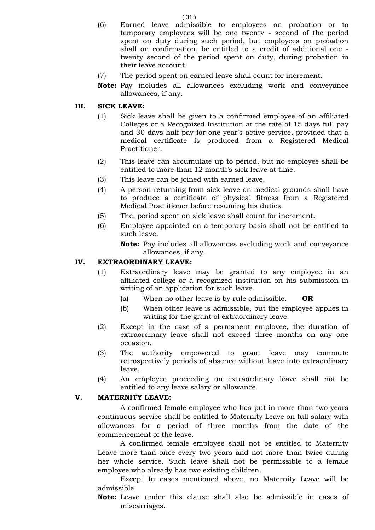(6) Earned leave admissible to employees on probation or to temporary employees will be one twenty - second of the period spent on duty during such period, but employees on probation shall on confirmation, be entitled to a credit of additional one twenty second of the period spent on duty, during probation in their leave account.

- (7) The period spent on earned leave shall count for increment.
- **Note:** Pay includes all allowances excluding work and conveyance allowances, if any.

#### **III. SICK LEAVE:**

- (1) Sick leave shall be given to a confirmed employee of an affiliated Colleges or a Recognized Institution at the rate of 15 days full pay and 30 days half pay for one year's active service, provided that a medical certificate is produced from a Registered Medical Practitioner.
- (2) This leave can accumulate up to period, but no employee shall be entitled to more than 12 month's sick leave at time.
- (3) This leave can be joined with earned leave.
- (4) A person returning from sick leave on medical grounds shall have to produce a certificate of physical fitness from a Registered Medical Practitioner before resuming his duties.
- (5) The, period spent on sick leave shall count for increment.
- (6) Employee appointed on a temporary basis shall not be entitled to such leave.
	- **Note:** Pay includes all allowances excluding work and conveyance allowances, if any.

## **IV. EXTRAORDINARY LEAVE:**

- (1) Extraordinary leave may be granted to any employee in an affiliated college or a recognized institution on his submission in writing of an application for such leave.
	- (a) When no other leave is by rule admissible. **OR**
	- (b) When other leave is admissible, but the employee applies in writing for the grant of extraordinary leave.
- (2) Except in the case of a permanent employee, the duration of extraordinary leave shall not exceed three months on any one occasion.
- (3) The authority empowered to grant leave may commute retrospectively periods of absence without leave into extraordinary leave.
- (4) An employee proceeding on extraordinary leave shall not be entitled to any leave salary or allowance.

#### **V. MATERNITY LEAVE:**

A confirmed female employee who has put in more than two years continuous service shall be entitled to Maternity Leave on full salary with allowances for a period of three months from the date of the commencement of the leave.

A confirmed female employee shall not be entitled to Maternity Leave more than once every two years and not more than twice during her whole service. Such leave shall not be permissible to a female employee who already has two existing children.

Except In cases mentioned above, no Maternity Leave will be admissible.

**Note:** Leave under this clause shall also be admissible in cases of miscarriages.

( 31 )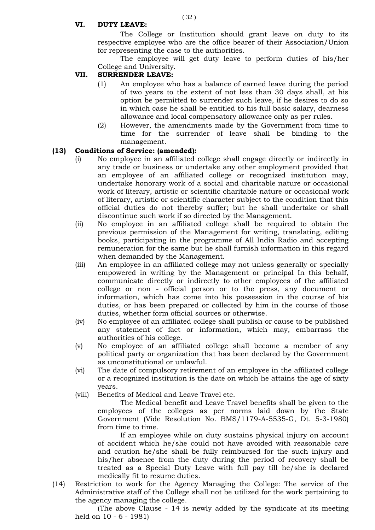## **VI. DUTY LEAVE:**

The College or Institution should grant leave on duty to its respective employee who are the office bearer of their Association/Union for representing the case to the authorities.

The employee will get duty leave to perform duties of his/her College and University.

## **VII. SURRENDER LEAVE:**

- (1) An employee who has a balance of earned leave during the period of two years to the extent of not less than 30 days shall, at his option be permitted to surrender such leave, if he desires to do so in which case he shall be entitled to his full basic salary, dearness allowance and local compensatory allowance only as per rules.
- (2) However, the amendments made by the Government from time to time for the surrender of leave shall be binding to the management.

## **(13) Conditions of Service: (amended):**

- (i) No employee in an affiliated college shall engage directly or indirectly in any trade or business or undertake any other employment provided that an employee of an affiliated college or recognized institution may, undertake honorary work of a social and charitable nature or occasional work of literary, artistic or scientific charitable nature or occasional work of literary, artistic or scientific character subject to the condition that this official duties do not thereby suffer; but he shall undertake or shall discontinue such work if so directed by the Management.
- (ii) No employee in an affiliated college shall be required to obtain the previous permission of the Management for writing, translating, editing books, participating in the programme of All India Radio and accepting remuneration for the same but he shall furnish information in this regard when demanded by the Management.
- (iii) An employee in an affiliated college may not unless generally or specially empowered in writing by the Management or principal In this behalf, communicate directly or indirectly to other employees of the affiliated college or non - official person or to the press, any document or information, which has come into his possession in the course of his duties, or has been prepared or collected by him in the course of those duties, whether form official sources or otherwise.
- (iv) No employee of an affiliated college shall publish or cause to be published any statement of fact or information, which may, embarrass the authorities of his college.
- (v) No employee of an affiliated college shall become a member of any political party or organization that has been declared by the Government as unconstitutional or unlawful.
- (vi) The date of compulsory retirement of an employee in the affiliated college or a recognized institution is the date on which he attains the age of sixty years.
- (viii) Benefits of Medical and Leave Travel etc.

The Medical benefit and Leave Travel benefits shall be given to the employees of the colleges as per norms laid down by the State Government (Vide Resolution No. BMS/1179-A-5535-G, Dt. 5-3-1980) from time to time.

If an employee while on duty sustains physical injury on account of accident which he/she could not have avoided with reasonable care and caution he/she shall be fully reimbursed for the such injury and his/her absence from the duty during the period of recovery shall be treated as a Special Duty Leave with full pay till he/she is declared medically fit to resume duties.

(14) Restriction to work for the Agency Managing the College: The service of the Administrative staff of the College shall not be utilized for the work pertaining to the agency managing the college.

 (The above Clause - 14 is newly added by the syndicate at its meeting held on 10 - 6 - 1981)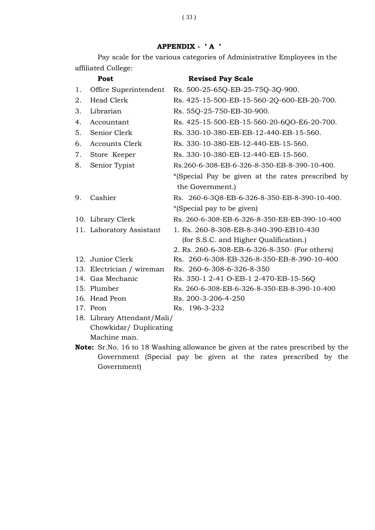# **APPENDIX - ' A '**

Pay scale for the various categories of Administrative Employees in the affiliated College:

|    | Post                        | <b>Revised Pay Scale</b>                          |
|----|-----------------------------|---------------------------------------------------|
| 1. | Office Superintendent       | Rs. 500-25-65Q-EB-25-75Q-3Q-900.                  |
| 2. | <b>Head Clerk</b>           | Rs. 425-15-500-EB-15-560-2Q-600-EB-20-700.        |
| 3. | Librarian                   | Rs. 55Q-25-750-EB-30-900.                         |
| 4. | Accountant                  | Rs. 425-15-500-EB-15-560-20-6QO-E6-20-700.        |
| 5. | Senior Clerk                | Rs. 330-10-380-EB-EB-12-440-EB-15-560.            |
| 6. | <b>Accounts Clerk</b>       | Rs. 330-10-380-EB-12-440-EB-15-560.               |
| 7. | Store Keeper                | Rs. 330-10-380-EB-12-440-EB-15-560.               |
| 8. | Senior Typist               | Rs.260-6-308-EB-6-326-8-350-EB-8-390-10-400.      |
|    |                             | *(Special Pay be given at the rates prescribed by |
|    |                             | the Government.)                                  |
| 9. | Cashier                     | Rs. 260-6-3Q8-EB-6-326-8-350-EB-8-390-10-400.     |
|    |                             | *(Special pay to be given)                        |
|    | 10. Library Clerk           | Rs. 260-6-308-EB-6-326-8-350-EB-EB-390-10-400     |
|    | 11. Laboratory Assistant    | 1. Rs. 260-8-308-EB-8-340-390-EB10-430            |
|    |                             | (for S.S.C. and Higher Qualification.)            |
|    |                             | 2. Rs. 260-6-308-EB-6-326-8-350- (For others)     |
|    | 12. Junior Clerk            | Rs. 260-6-308-EB-326-8-350-EB-8-390-10-400        |
|    | 13. Electrician / wireman   | Rs. 260-6-308-6-326-8-350                         |
|    | 14. Gas Mechanic            | Rs. 350-1 2-41 O-EB-1 2-470-EB-15-56Q             |
|    | 15. Plumber                 | Rs. 260-6-308-EB-6-326-8-350-EB-8-390-10-400      |
|    | 16. Head Peon               | Rs. 200-3-206-4-250                               |
|    | 17. Peon                    | Rs. 196-3-232                                     |
|    | 18. Library Attendant/Mali/ |                                                   |
|    | Chowkidar/ Duplicating      |                                                   |
|    | Machine man.                |                                                   |

**Note:** Sr.No. 16 to 18 Washing allowance be given at the rates prescribed by the Government (Special pay be given at the rates prescribed by the Government)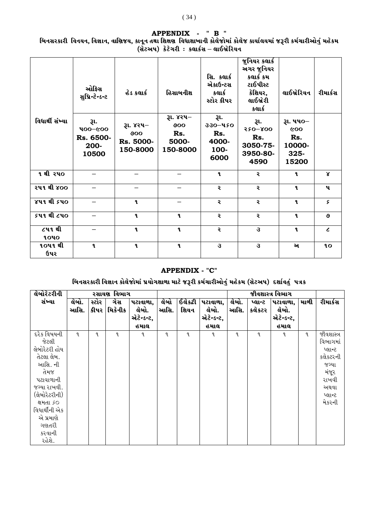# **APPENDIX - " B "**

બિનસરકારી વિનયન, વિજ્ઞાન, વાણિજય, કાનૂન તથા શિક્ષણ વિધાશાખાની કોલેજોમાં કોલેજ કાર્યાલયમાં જરૂરી કર્મચારીઓનું મહેકમ (સેટઅપ) *કેટેગરી : ક*લાર્કસ – લાઈબ્રેરિયન

|                       | ઓફિસ<br>સુપ્રિન્ટેન્ડન્ટ                      | હેડ કલાર્ક                                | હિસાબનીશ                                     | સિ. કલાર્ક<br>એકાઉન્ટસ<br>કલાર્ક<br>સ્ટોર કીપર  | જુનિયર કલાર્ક<br>અગર જુનિયર<br>કલાર્ક કમ<br>ટાઈપીસ્ટ<br>ક્રેશિયર,<br>લાઈબ્રેરી<br>કલાર્ક | લાઈબ્રેરિયન                                        | રીમાર્કસ     |
|-----------------------|-----------------------------------------------|-------------------------------------------|----------------------------------------------|-------------------------------------------------|------------------------------------------------------------------------------------------|----------------------------------------------------|--------------|
| વિધાર્થી સંખ્યા       | રૂા.<br>909-001<br>Rs. 6500-<br>200-<br>10500 | રૂા. ૪૨૫–<br>900<br>Rs. 5000-<br>150-8000 | રૂા. ૪૨૫–<br>900<br>Rs.<br>5000-<br>150-8000 | રૂા.<br>330-450<br>Rs.<br>4000-<br>100-<br>6000 | રા.<br>$550 - 800$<br>Rs.<br>3050-75-<br>3950-80-<br>4590                                | રૂા. ૫૫૦–<br>600<br>Rs.<br>10000-<br>325-<br>15200 |              |
| <u> १ थी २</u> ५०     | —                                             |                                           |                                              | $\mathbf{q}$                                    | ર                                                                                        | $\mathbf{a}$                                       | $\mathbf{x}$ |
| <u>ર૫૧ થી ૪૦૦</u>     |                                               |                                           |                                              | ૨                                               | ૨                                                                                        | $\mathbf{a}$                                       | પ            |
| <u>४५१ थी ६५०</u>     |                                               | $\mathbf{q}$                              |                                              | ૨                                               | ૨                                                                                        | $\mathbf{a}$                                       | ç            |
| ૬૫૧ થી ૮૫૦            |                                               | $\mathbf{q}$                              | $\mathbf{q}$                                 | ૨                                               | ર                                                                                        | $\mathbf{q}$                                       | ও            |
| ૮૫૧ થી<br><b>1040</b> |                                               | $\mathbf{a}$                              | $\mathbf{q}$                                 | ૨                                               | 3                                                                                        | $\mathbf{q}$                                       | $\epsilon$   |
| ૧૦૫૧ થી<br>ઉપર        | $\mathbf{r}$                                  | $\mathbf{q}$                              | $\mathbf{q}$                                 | 3                                               | 3                                                                                        | અ                                                  | 1O           |

## **APPENDIX - "C"**

# મિનસરકારી વિજ્ઞાન કોલેજોમાં પ્રયોગશાળા માટે જરૂરી કર્મચારીઓનું મહેકમ (સેટઅપ) દર્શાવતું પત્રક

| લેબોરેટરીની                                                                                                                                                                                  | રસાયણ વિભાગ   |       |                     |                                         |              |                         |                                         |               | જીવશાસ્ત્ર વિભાગ  |                                         |      |                                                                                                       |
|----------------------------------------------------------------------------------------------------------------------------------------------------------------------------------------------|---------------|-------|---------------------|-----------------------------------------|--------------|-------------------------|-----------------------------------------|---------------|-------------------|-----------------------------------------|------|-------------------------------------------------------------------------------------------------------|
| સંખ્યા                                                                                                                                                                                       | લેબો.<br>આસિ. | સ્ટોર | ગેસ<br>કીપર મિકેનીક | પટાવાળા,<br>લેબો.<br>એટેન્ડન્ટ,<br>હમાલ | લેબો<br>આસિ. | $\sqrt{6}$ કેટી<br>શિયન | પટાવાળા,<br>લેબો.<br>એટેન્ડન્ટ,<br>હમાલ | લેબો.<br>આસિ. | પ્લાન્ટ<br>કલેકટર | પટાવાળા,<br>લેબો.<br>એટેન્ડન્ટ,<br>હમાલ | માળી | રીમાર્કસ                                                                                              |
| દરેક વિષયની<br>જેટલી<br>લેબોરેટરી હોય<br>તેટલા લેબ.<br>આસિ. ની<br>તેમજ<br>પટાવાળાની<br>જગ્યા રાખવી.<br>(લેબોરેટરીની)<br>ક્ષમતા ૬૦<br>વિધાર્થીની એક<br>એ પ્રમાણે<br>ગણતરી<br>કરવાની<br>રહેશે. | L             | L     | L                   | ૧                                       | L            | L                       | ٩                                       | ૧             | L                 | L                                       | L    | જીવશાસ્ત્ર<br>વિભાગમાં<br>પ્લાન્ટ<br>કલેકટરની<br>જગ્યા<br>મંજૂર<br>રાખવી<br>અથવા<br>પ્લાન્ટ<br>મેકરની |

# ( 34 )